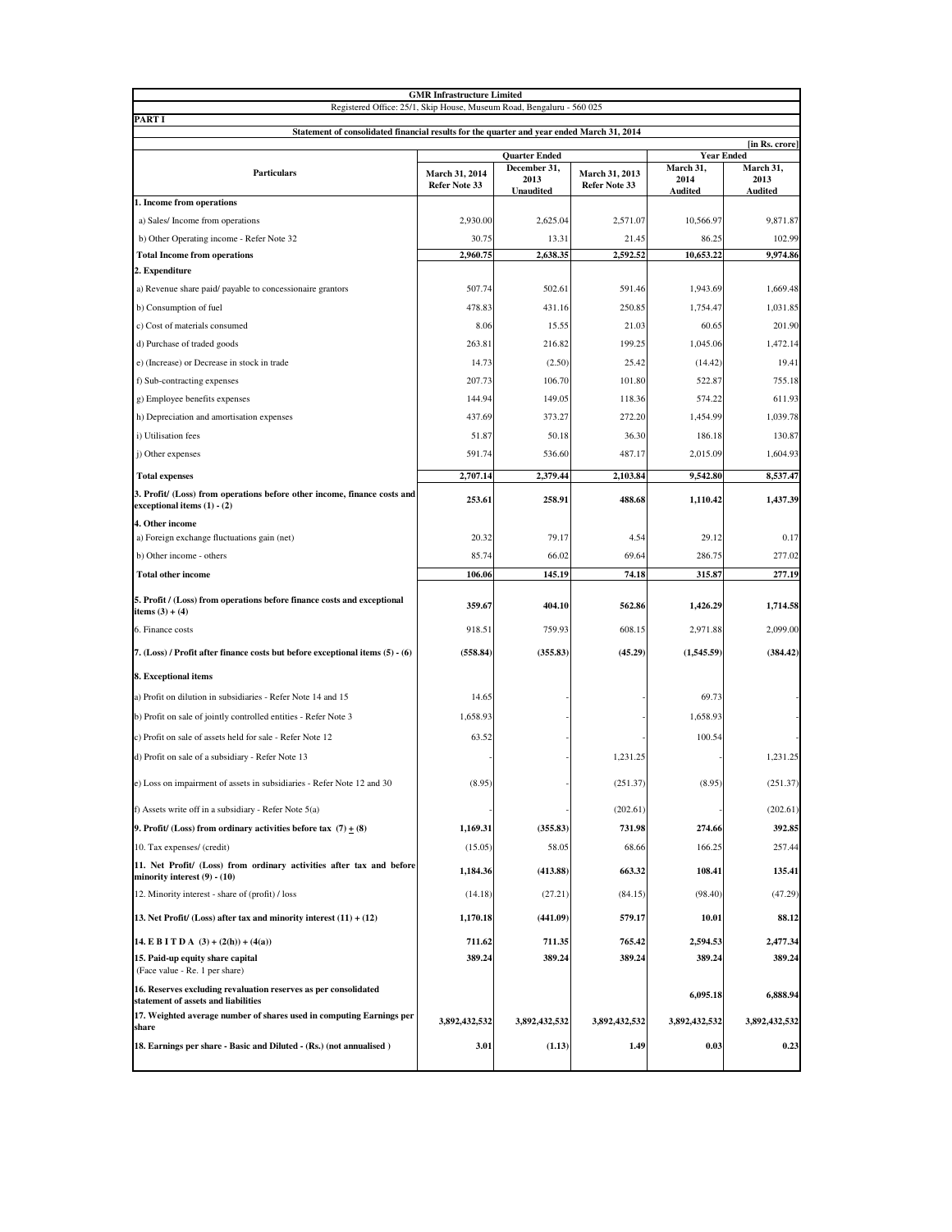|                                                                                                           | <b>GMR Infrastructure Limited</b>    |                  |                                 |                                |                |
|-----------------------------------------------------------------------------------------------------------|--------------------------------------|------------------|---------------------------------|--------------------------------|----------------|
| Registered Office: 25/1, Skip House, Museum Road, Bengaluru - 560 025                                     |                                      |                  |                                 |                                |                |
| PART I<br>Statement of consolidated financial results for the quarter and year ended March 31, 2014       |                                      |                  |                                 |                                |                |
|                                                                                                           |                                      |                  |                                 |                                | [in Rs. crore] |
|                                                                                                           | <b>Quarter Ended</b><br>December 31, |                  |                                 | <b>Year Ended</b><br>March 31, | March 31,      |
| <b>Particulars</b>                                                                                        | March 31, 2014<br>Refer Note 33      | 2013             | March 31, 2013<br>Refer Note 33 | 2014                           | 2013           |
| 1. Income from operations                                                                                 |                                      | <b>Unaudited</b> |                                 | <b>Audited</b>                 | Audited        |
| a) Sales/Income from operations                                                                           | 2,930.00                             | 2,625.04         | 2,571.07                        | 10,566.97                      | 9,871.87       |
| b) Other Operating income - Refer Note 32                                                                 | 30.75                                | 13.31            | 21.45                           | 86.25                          | 102.99         |
| <b>Total Income from operations</b>                                                                       | 2,960.75                             | 2,638.35         | 2,592.52                        | 10,653.22                      | 9,974.86       |
| 2. Expenditure                                                                                            |                                      |                  |                                 |                                |                |
| a) Revenue share paid/ payable to concessionaire grantors                                                 | 507.74                               | 502.61           | 591.46                          | 1,943.69                       | 1,669.48       |
| b) Consumption of fuel                                                                                    | 478.83                               | 431.16           | 250.85                          | 1,754.47                       | 1,031.85       |
| c) Cost of materials consumed                                                                             | 8.06                                 | 15.55            | 21.03                           | 60.65                          | 201.90         |
| d) Purchase of traded goods                                                                               | 263.81                               | 216.82           | 199.25                          | 1,045.06                       | 1,472.14       |
| e) (Increase) or Decrease in stock in trade                                                               | 14.73                                | (2.50)           | 25.42                           | (14.42)                        | 19.41          |
| f) Sub-contracting expenses                                                                               | 207.73                               | 106.70           | 101.80                          | 522.87                         | 755.18         |
| g) Employee benefits expenses                                                                             | 144.94                               | 149.05           | 118.36                          | 574.22                         | 611.93         |
| h) Depreciation and amortisation expenses                                                                 | 437.69                               | 373.27           | 272.20                          | 1,454.99                       | 1,039.78       |
| i) Utilisation fees                                                                                       | 51.87                                | 50.18            | 36.30                           | 186.18                         | 130.87         |
| j) Other expenses                                                                                         | 591.74                               | 536.60           | 487.17                          | 2,015.09                       | 1,604.93       |
|                                                                                                           |                                      |                  |                                 |                                |                |
| <b>Total expenses</b>                                                                                     | 2,707.14                             | 2,379.44         | 2,103.84                        | 9,542.80                       | 8,537.47       |
| 3. Profit/ (Loss) from operations before other income, finance costs and<br>exceptional items $(1) - (2)$ | 253.61                               | 258.91           | 488.68                          | 1,110.42                       | 1,437.39       |
| 4. Other income                                                                                           |                                      |                  |                                 |                                |                |
| a) Foreign exchange fluctuations gain (net)                                                               | 20.32                                | 79.17            | 4.54                            | 29.12                          | 0.17           |
| b) Other income - others                                                                                  | 85.74                                | 66.02            | 69.64                           | 286.75                         | 277.02         |
| <b>Total other income</b>                                                                                 | 106.06                               | 145.19           | 74.18                           | 315.87                         | 277.19         |
| 5. Profit / (Loss) from operations before finance costs and exceptional<br>items $(3) + (4)$              | 359.67                               | 404.10           | 562.86                          | 1,426.29                       | 1,714.58       |
| 6. Finance costs                                                                                          | 918.51                               | 759.93           | 608.15                          | 2,971.88                       | 2,099.00       |
| 7. (Loss) / Profit after finance costs but before exceptional items (5) - (6)                             | (558.84)                             | (355.83)         | (45.29)                         | (1,545.59)                     | (384.42)       |
| 8. Exceptional items                                                                                      |                                      |                  |                                 |                                |                |
| a) Profit on dilution in subsidiaries - Refer Note 14 and 15                                              | 14.65                                |                  |                                 | 69.73                          |                |
| b) Profit on sale of jointly controlled entities - Refer Note 3                                           | 1,658.93                             |                  |                                 | 1,658.93                       |                |
| c) Profit on sale of assets held for sale - Refer Note 12                                                 | 63.52                                |                  |                                 | 100.54                         |                |
|                                                                                                           |                                      |                  |                                 |                                |                |
| d) Profit on sale of a subsidiary - Refer Note 13                                                         |                                      |                  | 1,231.25                        |                                | 1,231.25       |
| e) Loss on impairment of assets in subsidiaries - Refer Note 12 and 30                                    | (8.95)                               |                  | (251.37)                        | (8.95)                         | (251.37)       |
| f) Assets write off in a subsidiary - Refer Note 5(a)                                                     |                                      |                  | (202.61)                        |                                | (202.61)       |
| 9. Profit/ (Loss) from ordinary activities before tax $(7) + (8)$                                         | 1,169.31                             | (355.83)         | 731.98                          | 274.66                         | 392.85         |
| 10. Tax expenses/ (credit)                                                                                | (15.05)                              | 58.05            | 68.66                           | 166.25                         | 257.44         |
| 11. Net Profit/ (Loss) from ordinary activities after tax and before<br>minority interest (9) - (10)      | 1,184.36                             | (413.88)         | 663.32                          | 108.41                         | 135.41         |
| 12. Minority interest - share of (profit) / loss                                                          | (14.18)                              | (27.21)          | (84.15)                         | (98.40)                        | (47.29)        |
| 13. Net Profit/ (Loss) after tax and minority interest $(11) + (12)$                                      | 1,170.18                             | (441.09)         | 579.17                          | 10.01                          | 88.12          |
| 14. E B I T D A $(3) + (2(h)) + (4(a))$                                                                   | 711.62                               | 711.35           | 765.42                          | 2,594.53                       | 2,477.34       |
| 15. Paid-up equity share capital<br>(Face value - Re. 1 per share)                                        | 389.24                               | 389.24           | 389.24                          | 389.24                         | 389.24         |
| 16. Reserves excluding revaluation reserves as per consolidated<br>statement of assets and liabilities    |                                      |                  |                                 | 6,095.18                       | 6,888.94       |
| 17. Weighted average number of shares used in computing Earnings per                                      | 3,892,432,532                        | 3,892,432,532    | 3,892,432,532                   | 3,892,432,532                  | 3,892,432,532  |
| share<br>18. Earnings per share - Basic and Diluted - (Rs.) (not annualised)                              | 3.01                                 | (1.13)           | 1.49                            | 0.03                           | 0.23           |
|                                                                                                           |                                      |                  |                                 |                                |                |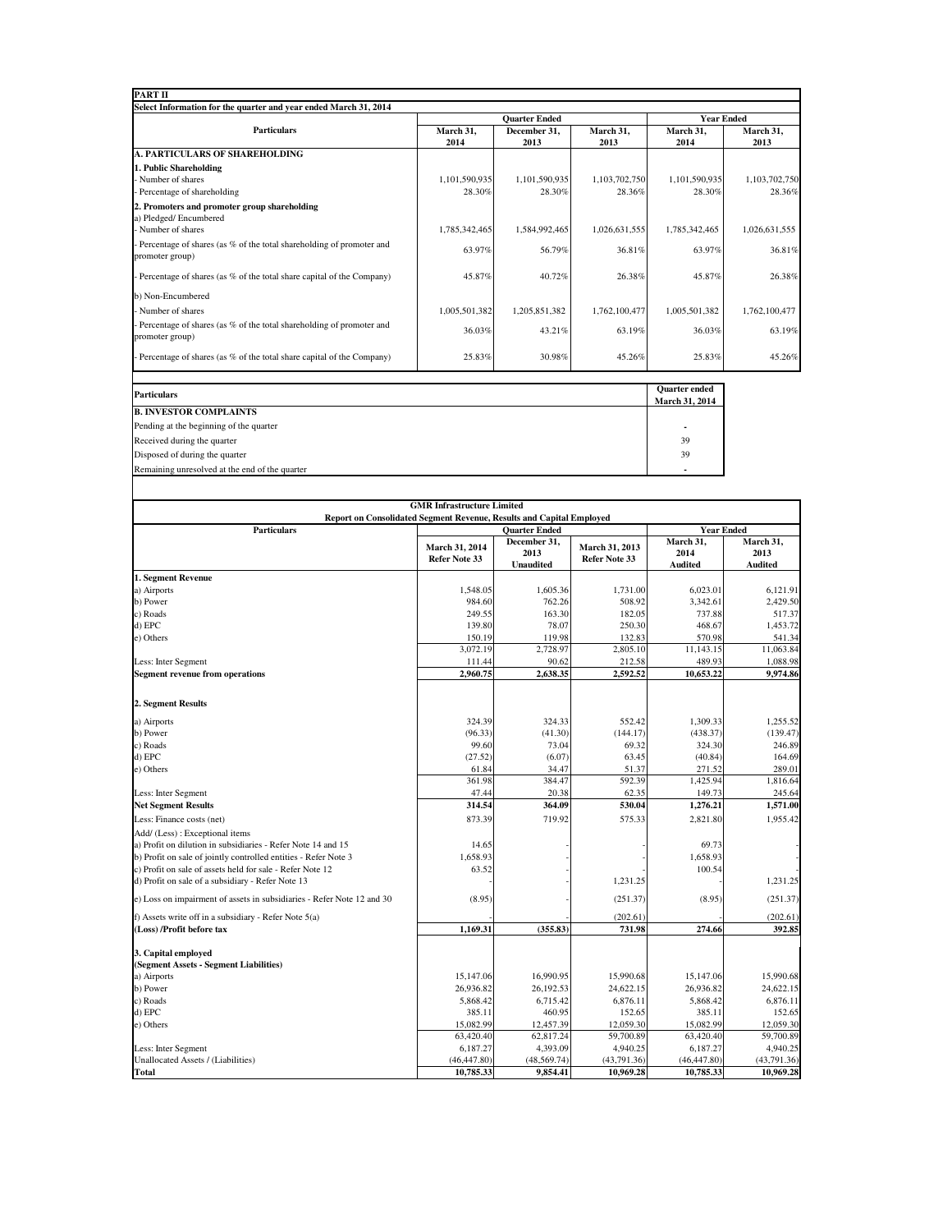| <b>PART II</b>                                                                            |               |                      |               |                                        |               |  |
|-------------------------------------------------------------------------------------------|---------------|----------------------|---------------|----------------------------------------|---------------|--|
| Select Information for the quarter and year ended March 31, 2014                          |               |                      |               |                                        |               |  |
|                                                                                           |               | <b>Ouarter Ended</b> |               | <b>Year Ended</b>                      |               |  |
| <b>Particulars</b>                                                                        | March 31,     | December 31.         | March 31,     | March 31,                              | March 31,     |  |
| <b>A. PARTICULARS OF SHAREHOLDING</b>                                                     | 2014          | 2013                 | 2013          | 2014                                   | 2013          |  |
| 1. Public Shareholding                                                                    |               |                      |               |                                        |               |  |
| - Number of shares                                                                        | 1,101,590,935 | 1,101,590,935        | 1,103,702,750 | 1,101,590,935                          | 1,103,702,750 |  |
| - Percentage of shareholding                                                              | 28.30%        | 28.30%               | 28.36%        | 28.30%                                 | 28.36%        |  |
| 2. Promoters and promoter group shareholding<br>a) Pledged/Encumbered                     |               |                      |               |                                        |               |  |
| - Number of shares                                                                        | 1,785,342,465 | 1,584,992,465        | 1,026,631,555 | 1,785,342,465                          | 1,026,631,555 |  |
| - Percentage of shares (as % of the total shareholding of promoter and<br>promoter group) | 63.97%        | 56.79%               | 36.81%        | 63.97%                                 | 36.81%        |  |
| - Percentage of shares (as % of the total share capital of the Company)                   | 45.87%        | 40.72%               | 26.38%        | 45.87%                                 | 26.38%        |  |
| b) Non-Encumbered                                                                         |               |                      |               |                                        |               |  |
| - Number of shares                                                                        | 1,005,501,382 | 1,205,851,382        | 1,762,100,477 | 1,005,501,382                          | 1,762,100,477 |  |
| - Percentage of shares (as % of the total shareholding of promoter and<br>promoter group) | 36.03%        | 43.21%               | 63.19%        | 36.03%                                 | 63.19%        |  |
| Percentage of shares (as % of the total share capital of the Company)                     | 25.83%        | 30.98%               | 45.26%        | 25.83%                                 | 45.26%        |  |
|                                                                                           |               |                      |               |                                        |               |  |
| <b>Particulars</b>                                                                        |               |                      |               | <b>Ouarter</b> ended<br>March 31, 2014 |               |  |
| <b>B. INVESTOR COMPLAINTS</b>                                                             |               |                      |               |                                        |               |  |

| Particulars                                    | <b>March 31, 2014</b> |
|------------------------------------------------|-----------------------|
| <b>B. INVESTOR COMPLAINTS</b>                  |                       |
| Pending at the beginning of the quarter        |                       |
| Received during the quarter                    | 39                    |
| Disposed of during the quarter                 | 39                    |
| Remaining unresolved at the end of the quarter |                       |

|                                                                        | <b>GMR Infrastructure Limited</b>      |                                                                  |                                        |                                                          |                                     |
|------------------------------------------------------------------------|----------------------------------------|------------------------------------------------------------------|----------------------------------------|----------------------------------------------------------|-------------------------------------|
| Report on Consolidated Segment Revenue, Results and Capital Employed   |                                        |                                                                  |                                        |                                                          |                                     |
| <b>Particulars</b>                                                     | March 31, 2014<br><b>Refer Note 33</b> | <b>Quarter Ended</b><br>December 31,<br>2013<br><b>Unaudited</b> | March 31, 2013<br><b>Refer Note 33</b> | <b>Year Ended</b><br>March 31,<br>2014<br><b>Audited</b> | March 31,<br>2013<br><b>Audited</b> |
| 1. Segment Revenue                                                     |                                        |                                                                  |                                        |                                                          |                                     |
| a) Airports                                                            | 1,548.05                               | 1,605.36                                                         | 1,731.00                               | 6,023.01                                                 | 6,121.91                            |
| b) Power                                                               | 984.60                                 | 762.26                                                           | 508.92                                 | 3,342.61                                                 | 2,429.50                            |
| c) Roads                                                               | 249.55                                 | 163.30                                                           | 182.05                                 | 737.88                                                   | 517.37                              |
| d) EPC                                                                 | 139.80                                 | 78.07                                                            | 250.30                                 | 468.67                                                   | 1,453.72                            |
| e) Others                                                              | 150.19                                 | 119.98                                                           | 132.83                                 | 570.98                                                   | 541.34                              |
|                                                                        | 3,072.19                               | 2,728.97                                                         | 2,805.10                               | 11,143.15                                                | 11,063.84                           |
| Less: Inter Segment                                                    | 111.44                                 | 90.62                                                            | 212.58                                 | 489.93                                                   | 1,088.98                            |
| <b>Segment revenue from operations</b>                                 | 2,960.75                               | 2,638.35                                                         | 2,592.52                               | 10,653.22                                                | 9,974.86                            |
| 2. Segment Results                                                     |                                        |                                                                  |                                        |                                                          |                                     |
| a) Airports                                                            | 324.39                                 | 324.33                                                           | 552.42                                 | 1,309.33                                                 | 1.255.52                            |
| b) Power                                                               | (96.33)                                | (41.30)                                                          | (144.17)                               | (438.37)                                                 | (139.47)                            |
| c) Roads                                                               | 99.60                                  | 73.04                                                            | 69.32                                  | 324.30                                                   | 246.89                              |
| d) EPC                                                                 | (27.52)                                | (6.07)                                                           | 63.45                                  | (40.84)                                                  | 164.69                              |
| e) Others                                                              | 61.84                                  | 34.47                                                            | 51.37                                  | 271.52                                                   | 289.01                              |
|                                                                        | 361.98                                 | 384.47                                                           | 592.39                                 | 1.425.94                                                 | 1,816.64                            |
| Less: Inter Segment                                                    | 47.44                                  | 20.38                                                            | 62.35                                  | 149.73                                                   | 245.64                              |
| <b>Net Segment Results</b>                                             | 314.54                                 | 364.09                                                           | 530.04                                 | 1,276.21                                                 | 1,571.00                            |
| Less: Finance costs (net)                                              | 873.39                                 | 719.92                                                           | 575.33                                 | 2.821.80                                                 | 1.955.42                            |
| Add/ (Less) : Exceptional items                                        |                                        |                                                                  |                                        |                                                          |                                     |
| a) Profit on dilution in subsidiaries - Refer Note 14 and 15           | 14.65                                  |                                                                  |                                        | 69.73                                                    |                                     |
| b) Profit on sale of jointly controlled entities - Refer Note 3        | 1.658.93                               |                                                                  |                                        | 1,658.93                                                 |                                     |
| c) Profit on sale of assets held for sale - Refer Note 12              | 63.52                                  |                                                                  |                                        | 100.54                                                   |                                     |
| d) Profit on sale of a subsidiary - Refer Note 13                      |                                        |                                                                  | 1,231.25                               |                                                          | 1,231.25                            |
| e) Loss on impairment of assets in subsidiaries - Refer Note 12 and 30 | (8.95)                                 |                                                                  | (251.37)                               | (8.95)                                                   | (251.37)                            |
| f) Assets write off in a subsidiary - Refer Note 5(a)                  |                                        |                                                                  | (202.61)                               |                                                          | (202.61)                            |
| (Loss) /Profit before tax                                              | 1,169.31                               | (355.83)                                                         | 731.98                                 | 274.66                                                   | 392.85                              |
| 3. Capital employed<br>(Segment Assets - Segment Liabilities)          |                                        |                                                                  |                                        |                                                          |                                     |
| a) Airports                                                            | 15,147.06                              | 16,990.95                                                        | 15,990.68                              | 15,147.06                                                | 15,990.68                           |
| b) Power                                                               | 26,936.82                              | 26,192.53                                                        | 24,622.15                              | 26,936.82                                                | 24,622.15                           |
| c) Roads                                                               | 5,868.42                               | 6,715.42                                                         | 6,876.11                               | 5,868.42                                                 | 6,876.11                            |
| d) EPC                                                                 | 385.11                                 | 460.95                                                           | 152.65                                 | 385.11                                                   | 152.65                              |
| e) Others                                                              | 15,082.99                              | 12,457.39                                                        | 12,059.30                              | 15,082.99                                                | 12,059.30                           |
|                                                                        | 63,420.40                              | 62,817.24                                                        | 59,700.89                              | 63,420.40                                                | 59,700.89                           |
| Less: Inter Segment                                                    | 6,187.27                               | 4,393.09                                                         | 4,940.25                               | 6,187.27                                                 | 4,940.25                            |
| Unallocated Assets / (Liabilities)                                     | (46, 447.80)                           | (48, 569.74)                                                     | (43,791.36)                            | (46, 447.80)                                             | (43,791.36)                         |
| Total                                                                  | 10,785.33                              | 9.854.41                                                         | 10.969.28                              | 10,785.33                                                | 10,969.28                           |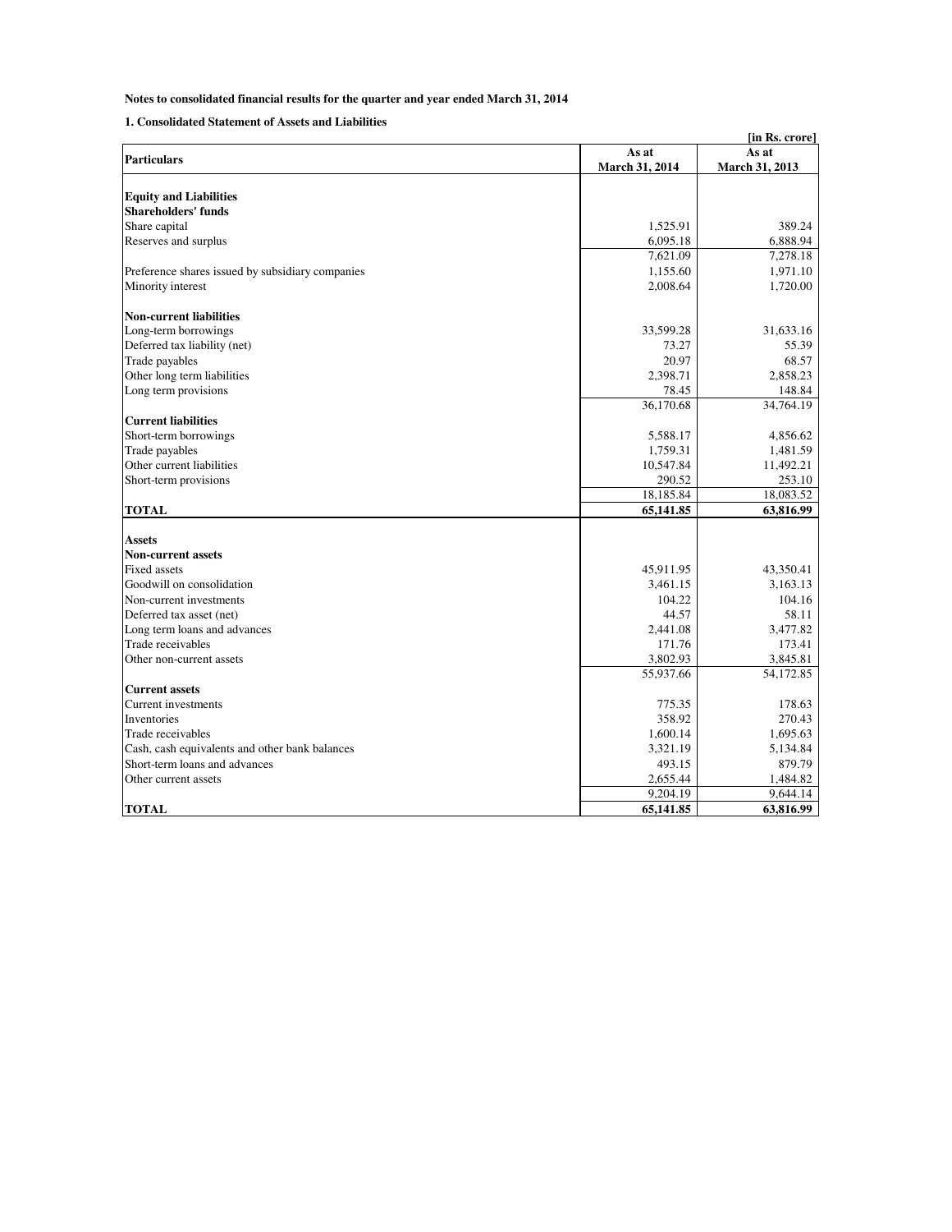## **Notes to consolidated financial results for the quarter and year ended March 31, 2014**

## **1. Consolidated Statement of Assets and Liabilities**

| As at<br>As at<br><b>Particulars</b><br>March 31, 2014<br>March 31, 2013<br><b>Equity and Liabilities</b><br><b>Shareholders' funds</b><br>Share capital<br>1,525.91<br>389.24<br>Reserves and surplus<br>6,888.94<br>6,095.18<br>7,621.09<br>7,278.18<br>Preference shares issued by subsidiary companies<br>1,155.60<br>1,971.10<br>2,008.64<br>1,720.00<br>Minority interest<br><b>Non-current liabilities</b><br>Long-term borrowings<br>33,599.28<br>31,633.16<br>Deferred tax liability (net)<br>55.39<br>73.27<br>Trade payables<br>20.97<br>68.57<br>Other long term liabilities<br>2,858.23<br>2,398.71<br>Long term provisions<br>78.45<br>148.84<br>36,170.68<br>34,764.19<br><b>Current liabilities</b><br>Short-term borrowings<br>5,588.17<br>4,856.62<br>1,759.31<br>1,481.59<br>Trade payables<br>Other current liabilities<br>10,547.84<br>11,492.21<br>Short-term provisions<br>290.52<br>253.10<br>18,185.84<br>18,083.52<br>65,141.85<br>63,816.99<br><b>TOTAL</b><br>Assets<br><b>Non-current assets</b><br><b>Fixed assets</b><br>45,911.95<br>43,350.41<br>Goodwill on consolidation<br>3,461.15<br>3,163.13<br>Non-current investments<br>104.22<br>104.16<br>Deferred tax asset (net)<br>44.57<br>58.11<br>Long term loans and advances<br>3,477.82<br>2,441.08<br>Trade receivables<br>171.76<br>173.41<br>Other non-current assets<br>3,802.93<br>3,845.81<br>55,937.66<br>54,172.85<br><b>Current assets</b><br>Current investments<br>775.35<br>178.63<br>Inventories<br>358.92<br>270.43<br>Trade receivables<br>1,600.14<br>1,695.63<br>Cash, cash equivalents and other bank balances<br>3,321.19<br>5,134.84<br>879.79<br>Short-term loans and advances<br>493.15<br>1,484.82<br>Other current assets<br>2,655.44<br>9,204.19<br>9,644.14 | [in Rs. crore] |           |           |  |  |
|----------------------------------------------------------------------------------------------------------------------------------------------------------------------------------------------------------------------------------------------------------------------------------------------------------------------------------------------------------------------------------------------------------------------------------------------------------------------------------------------------------------------------------------------------------------------------------------------------------------------------------------------------------------------------------------------------------------------------------------------------------------------------------------------------------------------------------------------------------------------------------------------------------------------------------------------------------------------------------------------------------------------------------------------------------------------------------------------------------------------------------------------------------------------------------------------------------------------------------------------------------------------------------------------------------------------------------------------------------------------------------------------------------------------------------------------------------------------------------------------------------------------------------------------------------------------------------------------------------------------------------------------------------------------------------------------------------------------------------------------------------------------------|----------------|-----------|-----------|--|--|
|                                                                                                                                                                                                                                                                                                                                                                                                                                                                                                                                                                                                                                                                                                                                                                                                                                                                                                                                                                                                                                                                                                                                                                                                                                                                                                                                                                                                                                                                                                                                                                                                                                                                                                                                                                            |                |           |           |  |  |
|                                                                                                                                                                                                                                                                                                                                                                                                                                                                                                                                                                                                                                                                                                                                                                                                                                                                                                                                                                                                                                                                                                                                                                                                                                                                                                                                                                                                                                                                                                                                                                                                                                                                                                                                                                            |                |           |           |  |  |
|                                                                                                                                                                                                                                                                                                                                                                                                                                                                                                                                                                                                                                                                                                                                                                                                                                                                                                                                                                                                                                                                                                                                                                                                                                                                                                                                                                                                                                                                                                                                                                                                                                                                                                                                                                            |                |           |           |  |  |
|                                                                                                                                                                                                                                                                                                                                                                                                                                                                                                                                                                                                                                                                                                                                                                                                                                                                                                                                                                                                                                                                                                                                                                                                                                                                                                                                                                                                                                                                                                                                                                                                                                                                                                                                                                            |                |           |           |  |  |
|                                                                                                                                                                                                                                                                                                                                                                                                                                                                                                                                                                                                                                                                                                                                                                                                                                                                                                                                                                                                                                                                                                                                                                                                                                                                                                                                                                                                                                                                                                                                                                                                                                                                                                                                                                            |                |           |           |  |  |
|                                                                                                                                                                                                                                                                                                                                                                                                                                                                                                                                                                                                                                                                                                                                                                                                                                                                                                                                                                                                                                                                                                                                                                                                                                                                                                                                                                                                                                                                                                                                                                                                                                                                                                                                                                            |                |           |           |  |  |
|                                                                                                                                                                                                                                                                                                                                                                                                                                                                                                                                                                                                                                                                                                                                                                                                                                                                                                                                                                                                                                                                                                                                                                                                                                                                                                                                                                                                                                                                                                                                                                                                                                                                                                                                                                            |                |           |           |  |  |
|                                                                                                                                                                                                                                                                                                                                                                                                                                                                                                                                                                                                                                                                                                                                                                                                                                                                                                                                                                                                                                                                                                                                                                                                                                                                                                                                                                                                                                                                                                                                                                                                                                                                                                                                                                            |                |           |           |  |  |
|                                                                                                                                                                                                                                                                                                                                                                                                                                                                                                                                                                                                                                                                                                                                                                                                                                                                                                                                                                                                                                                                                                                                                                                                                                                                                                                                                                                                                                                                                                                                                                                                                                                                                                                                                                            |                |           |           |  |  |
|                                                                                                                                                                                                                                                                                                                                                                                                                                                                                                                                                                                                                                                                                                                                                                                                                                                                                                                                                                                                                                                                                                                                                                                                                                                                                                                                                                                                                                                                                                                                                                                                                                                                                                                                                                            |                |           |           |  |  |
|                                                                                                                                                                                                                                                                                                                                                                                                                                                                                                                                                                                                                                                                                                                                                                                                                                                                                                                                                                                                                                                                                                                                                                                                                                                                                                                                                                                                                                                                                                                                                                                                                                                                                                                                                                            |                |           |           |  |  |
|                                                                                                                                                                                                                                                                                                                                                                                                                                                                                                                                                                                                                                                                                                                                                                                                                                                                                                                                                                                                                                                                                                                                                                                                                                                                                                                                                                                                                                                                                                                                                                                                                                                                                                                                                                            |                |           |           |  |  |
|                                                                                                                                                                                                                                                                                                                                                                                                                                                                                                                                                                                                                                                                                                                                                                                                                                                                                                                                                                                                                                                                                                                                                                                                                                                                                                                                                                                                                                                                                                                                                                                                                                                                                                                                                                            |                |           |           |  |  |
|                                                                                                                                                                                                                                                                                                                                                                                                                                                                                                                                                                                                                                                                                                                                                                                                                                                                                                                                                                                                                                                                                                                                                                                                                                                                                                                                                                                                                                                                                                                                                                                                                                                                                                                                                                            |                |           |           |  |  |
|                                                                                                                                                                                                                                                                                                                                                                                                                                                                                                                                                                                                                                                                                                                                                                                                                                                                                                                                                                                                                                                                                                                                                                                                                                                                                                                                                                                                                                                                                                                                                                                                                                                                                                                                                                            |                |           |           |  |  |
|                                                                                                                                                                                                                                                                                                                                                                                                                                                                                                                                                                                                                                                                                                                                                                                                                                                                                                                                                                                                                                                                                                                                                                                                                                                                                                                                                                                                                                                                                                                                                                                                                                                                                                                                                                            |                |           |           |  |  |
|                                                                                                                                                                                                                                                                                                                                                                                                                                                                                                                                                                                                                                                                                                                                                                                                                                                                                                                                                                                                                                                                                                                                                                                                                                                                                                                                                                                                                                                                                                                                                                                                                                                                                                                                                                            |                |           |           |  |  |
|                                                                                                                                                                                                                                                                                                                                                                                                                                                                                                                                                                                                                                                                                                                                                                                                                                                                                                                                                                                                                                                                                                                                                                                                                                                                                                                                                                                                                                                                                                                                                                                                                                                                                                                                                                            |                |           |           |  |  |
|                                                                                                                                                                                                                                                                                                                                                                                                                                                                                                                                                                                                                                                                                                                                                                                                                                                                                                                                                                                                                                                                                                                                                                                                                                                                                                                                                                                                                                                                                                                                                                                                                                                                                                                                                                            |                |           |           |  |  |
|                                                                                                                                                                                                                                                                                                                                                                                                                                                                                                                                                                                                                                                                                                                                                                                                                                                                                                                                                                                                                                                                                                                                                                                                                                                                                                                                                                                                                                                                                                                                                                                                                                                                                                                                                                            |                |           |           |  |  |
|                                                                                                                                                                                                                                                                                                                                                                                                                                                                                                                                                                                                                                                                                                                                                                                                                                                                                                                                                                                                                                                                                                                                                                                                                                                                                                                                                                                                                                                                                                                                                                                                                                                                                                                                                                            |                |           |           |  |  |
|                                                                                                                                                                                                                                                                                                                                                                                                                                                                                                                                                                                                                                                                                                                                                                                                                                                                                                                                                                                                                                                                                                                                                                                                                                                                                                                                                                                                                                                                                                                                                                                                                                                                                                                                                                            |                |           |           |  |  |
|                                                                                                                                                                                                                                                                                                                                                                                                                                                                                                                                                                                                                                                                                                                                                                                                                                                                                                                                                                                                                                                                                                                                                                                                                                                                                                                                                                                                                                                                                                                                                                                                                                                                                                                                                                            |                |           |           |  |  |
|                                                                                                                                                                                                                                                                                                                                                                                                                                                                                                                                                                                                                                                                                                                                                                                                                                                                                                                                                                                                                                                                                                                                                                                                                                                                                                                                                                                                                                                                                                                                                                                                                                                                                                                                                                            |                |           |           |  |  |
|                                                                                                                                                                                                                                                                                                                                                                                                                                                                                                                                                                                                                                                                                                                                                                                                                                                                                                                                                                                                                                                                                                                                                                                                                                                                                                                                                                                                                                                                                                                                                                                                                                                                                                                                                                            |                |           |           |  |  |
|                                                                                                                                                                                                                                                                                                                                                                                                                                                                                                                                                                                                                                                                                                                                                                                                                                                                                                                                                                                                                                                                                                                                                                                                                                                                                                                                                                                                                                                                                                                                                                                                                                                                                                                                                                            |                |           |           |  |  |
|                                                                                                                                                                                                                                                                                                                                                                                                                                                                                                                                                                                                                                                                                                                                                                                                                                                                                                                                                                                                                                                                                                                                                                                                                                                                                                                                                                                                                                                                                                                                                                                                                                                                                                                                                                            |                |           |           |  |  |
|                                                                                                                                                                                                                                                                                                                                                                                                                                                                                                                                                                                                                                                                                                                                                                                                                                                                                                                                                                                                                                                                                                                                                                                                                                                                                                                                                                                                                                                                                                                                                                                                                                                                                                                                                                            |                |           |           |  |  |
|                                                                                                                                                                                                                                                                                                                                                                                                                                                                                                                                                                                                                                                                                                                                                                                                                                                                                                                                                                                                                                                                                                                                                                                                                                                                                                                                                                                                                                                                                                                                                                                                                                                                                                                                                                            |                |           |           |  |  |
|                                                                                                                                                                                                                                                                                                                                                                                                                                                                                                                                                                                                                                                                                                                                                                                                                                                                                                                                                                                                                                                                                                                                                                                                                                                                                                                                                                                                                                                                                                                                                                                                                                                                                                                                                                            |                |           |           |  |  |
|                                                                                                                                                                                                                                                                                                                                                                                                                                                                                                                                                                                                                                                                                                                                                                                                                                                                                                                                                                                                                                                                                                                                                                                                                                                                                                                                                                                                                                                                                                                                                                                                                                                                                                                                                                            |                |           |           |  |  |
|                                                                                                                                                                                                                                                                                                                                                                                                                                                                                                                                                                                                                                                                                                                                                                                                                                                                                                                                                                                                                                                                                                                                                                                                                                                                                                                                                                                                                                                                                                                                                                                                                                                                                                                                                                            |                |           |           |  |  |
|                                                                                                                                                                                                                                                                                                                                                                                                                                                                                                                                                                                                                                                                                                                                                                                                                                                                                                                                                                                                                                                                                                                                                                                                                                                                                                                                                                                                                                                                                                                                                                                                                                                                                                                                                                            |                |           |           |  |  |
|                                                                                                                                                                                                                                                                                                                                                                                                                                                                                                                                                                                                                                                                                                                                                                                                                                                                                                                                                                                                                                                                                                                                                                                                                                                                                                                                                                                                                                                                                                                                                                                                                                                                                                                                                                            |                |           |           |  |  |
|                                                                                                                                                                                                                                                                                                                                                                                                                                                                                                                                                                                                                                                                                                                                                                                                                                                                                                                                                                                                                                                                                                                                                                                                                                                                                                                                                                                                                                                                                                                                                                                                                                                                                                                                                                            |                |           |           |  |  |
|                                                                                                                                                                                                                                                                                                                                                                                                                                                                                                                                                                                                                                                                                                                                                                                                                                                                                                                                                                                                                                                                                                                                                                                                                                                                                                                                                                                                                                                                                                                                                                                                                                                                                                                                                                            |                |           |           |  |  |
|                                                                                                                                                                                                                                                                                                                                                                                                                                                                                                                                                                                                                                                                                                                                                                                                                                                                                                                                                                                                                                                                                                                                                                                                                                                                                                                                                                                                                                                                                                                                                                                                                                                                                                                                                                            |                |           |           |  |  |
|                                                                                                                                                                                                                                                                                                                                                                                                                                                                                                                                                                                                                                                                                                                                                                                                                                                                                                                                                                                                                                                                                                                                                                                                                                                                                                                                                                                                                                                                                                                                                                                                                                                                                                                                                                            |                |           |           |  |  |
|                                                                                                                                                                                                                                                                                                                                                                                                                                                                                                                                                                                                                                                                                                                                                                                                                                                                                                                                                                                                                                                                                                                                                                                                                                                                                                                                                                                                                                                                                                                                                                                                                                                                                                                                                                            |                |           |           |  |  |
|                                                                                                                                                                                                                                                                                                                                                                                                                                                                                                                                                                                                                                                                                                                                                                                                                                                                                                                                                                                                                                                                                                                                                                                                                                                                                                                                                                                                                                                                                                                                                                                                                                                                                                                                                                            |                |           |           |  |  |
|                                                                                                                                                                                                                                                                                                                                                                                                                                                                                                                                                                                                                                                                                                                                                                                                                                                                                                                                                                                                                                                                                                                                                                                                                                                                                                                                                                                                                                                                                                                                                                                                                                                                                                                                                                            |                |           |           |  |  |
|                                                                                                                                                                                                                                                                                                                                                                                                                                                                                                                                                                                                                                                                                                                                                                                                                                                                                                                                                                                                                                                                                                                                                                                                                                                                                                                                                                                                                                                                                                                                                                                                                                                                                                                                                                            |                |           |           |  |  |
|                                                                                                                                                                                                                                                                                                                                                                                                                                                                                                                                                                                                                                                                                                                                                                                                                                                                                                                                                                                                                                                                                                                                                                                                                                                                                                                                                                                                                                                                                                                                                                                                                                                                                                                                                                            | <b>TOTAL</b>   | 65,141.85 | 63,816.99 |  |  |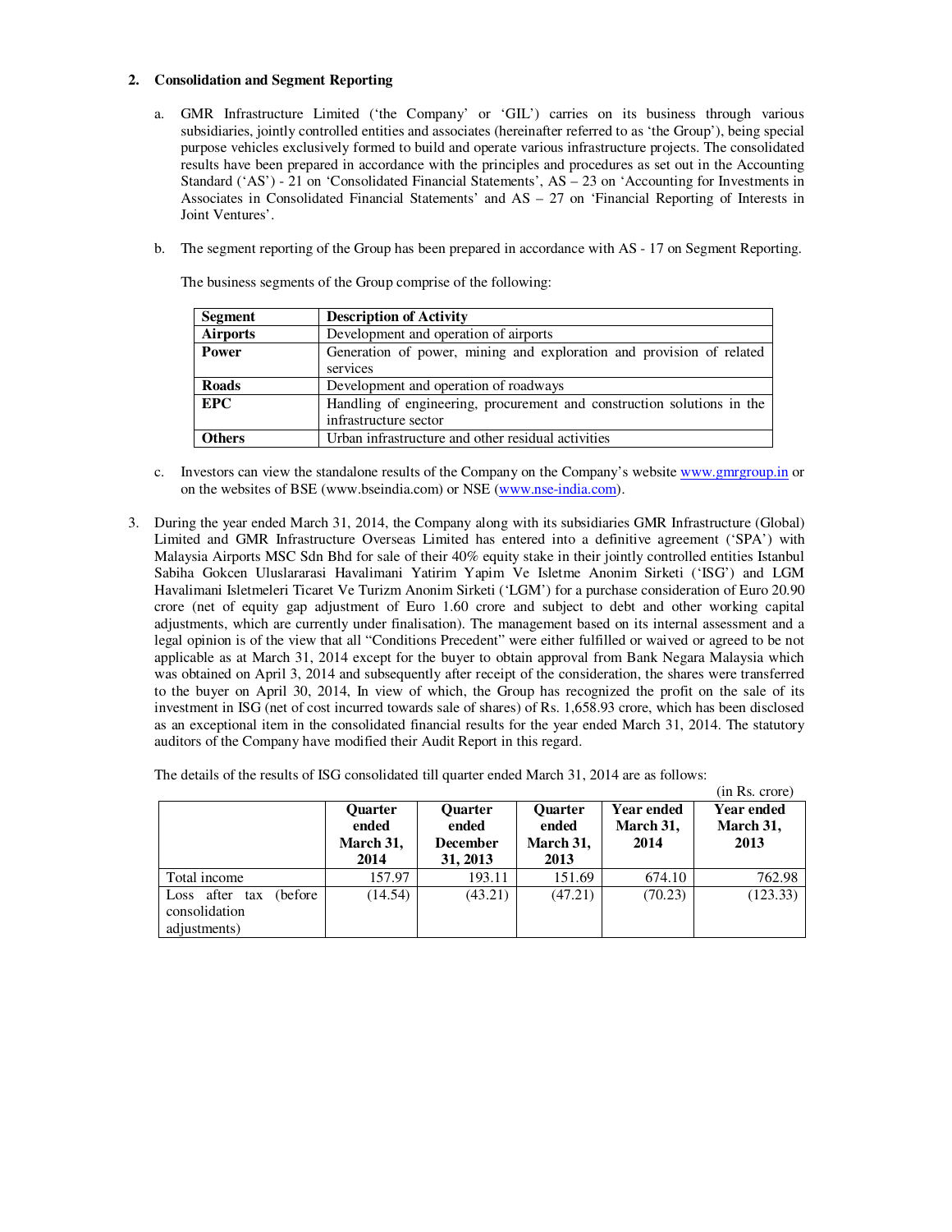## **2. Consolidation and Segment Reporting**

- a. GMR Infrastructure Limited ('the Company' or 'GIL') carries on its business through various subsidiaries, jointly controlled entities and associates (hereinafter referred to as 'the Group'), being special purpose vehicles exclusively formed to build and operate various infrastructure projects. The consolidated results have been prepared in accordance with the principles and procedures as set out in the Accounting Standard ('AS') - 21 on 'Consolidated Financial Statements', AS – 23 on 'Accounting for Investments in Associates in Consolidated Financial Statements' and AS – 27 on 'Financial Reporting of Interests in Joint Ventures'.
- b. The segment reporting of the Group has been prepared in accordance with AS 17 on Segment Reporting.

The business segments of the Group comprise of the following:

| <b>Segment</b>  | <b>Description of Activity</b>                                         |
|-----------------|------------------------------------------------------------------------|
| <b>Airports</b> | Development and operation of airports                                  |
| <b>Power</b>    | Generation of power, mining and exploration and provision of related   |
|                 | services                                                               |
| <b>Roads</b>    | Development and operation of roadways                                  |
| <b>EPC</b>      | Handling of engineering, procurement and construction solutions in the |
|                 | infrastructure sector                                                  |
| <b>Others</b>   | Urban infrastructure and other residual activities                     |

- c. Investors can view the standalone results of the Company on the Company's website www.gmrgroup.in or on the websites of BSE (www.bseindia.com) or NSE (www.nse-india.com).
- 3. During the year ended March 31, 2014, the Company along with its subsidiaries GMR Infrastructure (Global) Limited and GMR Infrastructure Overseas Limited has entered into a definitive agreement ('SPA') with Malaysia Airports MSC Sdn Bhd for sale of their 40% equity stake in their jointly controlled entities Istanbul Sabiha Gokcen Uluslararasi Havalimani Yatirim Yapim Ve Isletme Anonim Sirketi ('ISG') and LGM Havalimani Isletmeleri Ticaret Ve Turizm Anonim Sirketi ('LGM') for a purchase consideration of Euro 20.90 crore (net of equity gap adjustment of Euro 1.60 crore and subject to debt and other working capital adjustments, which are currently under finalisation). The management based on its internal assessment and a legal opinion is of the view that all "Conditions Precedent" were either fulfilled or waived or agreed to be not applicable as at March 31, 2014 except for the buyer to obtain approval from Bank Negara Malaysia which was obtained on April 3, 2014 and subsequently after receipt of the consideration, the shares were transferred to the buyer on April 30, 2014, In view of which, the Group has recognized the profit on the sale of its investment in ISG (net of cost incurred towards sale of shares) of Rs. 1,658.93 crore, which has been disclosed as an exceptional item in the consolidated financial results for the year ended March 31, 2014. The statutory auditors of the Company have modified their Audit Report in this regard.

The details of the results of ISG consolidated till quarter ended March 31, 2014 are as follows:

|                                                                   |                                              |                                                        |                                              |                                        | (in Rs. crore)                         |
|-------------------------------------------------------------------|----------------------------------------------|--------------------------------------------------------|----------------------------------------------|----------------------------------------|----------------------------------------|
|                                                                   | <b>Quarter</b><br>ended<br>March 31,<br>2014 | <b>Ouarter</b><br>ended<br><b>December</b><br>31, 2013 | <b>Quarter</b><br>ended<br>March 31,<br>2013 | <b>Year ended</b><br>March 31,<br>2014 | <b>Year ended</b><br>March 31,<br>2013 |
| Total income                                                      | 157.97                                       | 193.11                                                 | 151.69                                       | 674.10                                 | 762.98                                 |
| (before)<br>after<br>Loss<br>tax<br>consolidation<br>adjustments) | (14.54)                                      | (43.21)                                                | (47.21)                                      | (70.23)                                | (123.33)                               |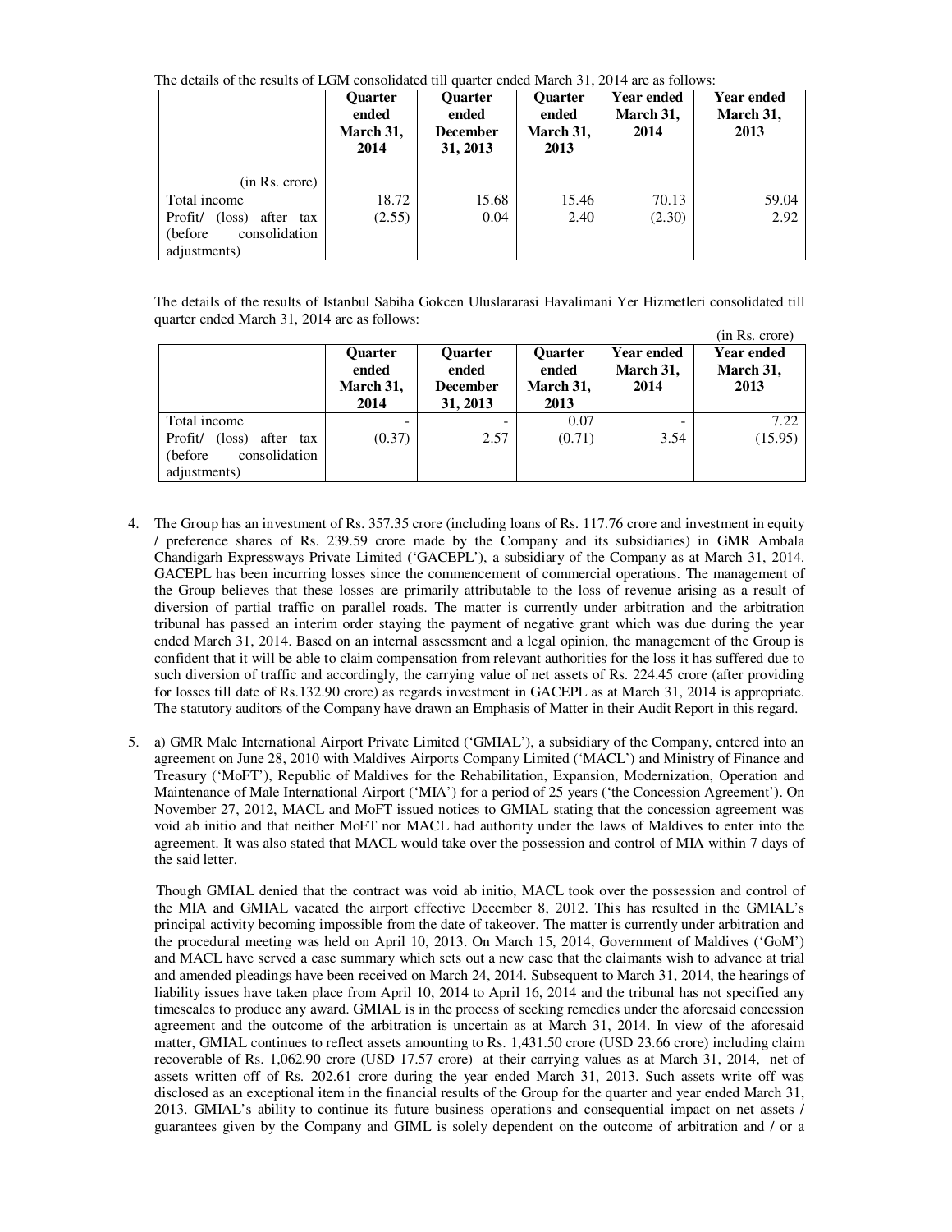The details of the results of LGM consolidated till quarter ended March 31, 2014 are as follows:

|                                                                                      | <b>Ouarter</b><br>ended<br>March 31,<br>2014 | <b>Ouarter</b><br>ended<br><b>December</b><br>31, 2013 | <b>Quarter</b><br>ended<br>March 31,<br>2013 | <b>Year ended</b><br>March 31,<br>2014 | Year ended<br>March 31,<br>2013 |
|--------------------------------------------------------------------------------------|----------------------------------------------|--------------------------------------------------------|----------------------------------------------|----------------------------------------|---------------------------------|
| (in Rs. crore)                                                                       |                                              |                                                        |                                              |                                        |                                 |
| Total income                                                                         | 18.72                                        | 15.68                                                  | 15.46                                        | 70.13                                  | 59.04                           |
| Profit/<br>after tax<br>$(\text{loss})$<br>consolidation<br>(before)<br>adjustments) | (2.55)                                       | 0.04                                                   | 2.40                                         | (2.30)                                 | 2.92                            |

The details of the results of Istanbul Sabiha Gokcen Uluslararasi Havalimani Yer Hizmetleri consolidated till quarter ended March 31, 2014 are as follows:

|                                                                                |                                              |                                                        |                                              |                                        | (in Rs. crore)                         |
|--------------------------------------------------------------------------------|----------------------------------------------|--------------------------------------------------------|----------------------------------------------|----------------------------------------|----------------------------------------|
|                                                                                | <b>Ouarter</b><br>ended<br>March 31,<br>2014 | <b>Ouarter</b><br>ended<br><b>December</b><br>31, 2013 | <b>Ouarter</b><br>ended<br>March 31,<br>2013 | <b>Year ended</b><br>March 31,<br>2014 | <b>Year ended</b><br>March 31,<br>2013 |
| Total income                                                                   |                                              | $\overline{\phantom{a}}$                               | 0.07                                         | $\overline{\phantom{a}}$               | 7.22                                   |
| Profit/<br>(loss)<br>after<br>tax<br>consolidation<br>(before)<br>adjustments) | (0.37)                                       | 2.57                                                   | (0.71)                                       | 3.54                                   | (15.95)                                |

- 4. The Group has an investment of Rs. 357.35 crore (including loans of Rs. 117.76 crore and investment in equity / preference shares of Rs. 239.59 crore made by the Company and its subsidiaries) in GMR Ambala Chandigarh Expressways Private Limited ('GACEPL'), a subsidiary of the Company as at March 31, 2014. GACEPL has been incurring losses since the commencement of commercial operations. The management of the Group believes that these losses are primarily attributable to the loss of revenue arising as a result of diversion of partial traffic on parallel roads. The matter is currently under arbitration and the arbitration tribunal has passed an interim order staying the payment of negative grant which was due during the year ended March 31, 2014. Based on an internal assessment and a legal opinion, the management of the Group is confident that it will be able to claim compensation from relevant authorities for the loss it has suffered due to such diversion of traffic and accordingly, the carrying value of net assets of Rs. 224.45 crore (after providing for losses till date of Rs.132.90 crore) as regards investment in GACEPL as at March 31, 2014 is appropriate. The statutory auditors of the Company have drawn an Emphasis of Matter in their Audit Report in this regard.
- 5. a) GMR Male International Airport Private Limited ('GMIAL'), a subsidiary of the Company, entered into an agreement on June 28, 2010 with Maldives Airports Company Limited ('MACL') and Ministry of Finance and Treasury ('MoFT'), Republic of Maldives for the Rehabilitation, Expansion, Modernization, Operation and Maintenance of Male International Airport ('MIA') for a period of 25 years ('the Concession Agreement'). On November 27, 2012, MACL and MoFT issued notices to GMIAL stating that the concession agreement was void ab initio and that neither MoFT nor MACL had authority under the laws of Maldives to enter into the agreement. It was also stated that MACL would take over the possession and control of MIA within 7 days of the said letter.

Though GMIAL denied that the contract was void ab initio, MACL took over the possession and control of the MIA and GMIAL vacated the airport effective December 8, 2012. This has resulted in the GMIAL's principal activity becoming impossible from the date of takeover. The matter is currently under arbitration and the procedural meeting was held on April 10, 2013. On March 15, 2014, Government of Maldives ('GoM') and MACL have served a case summary which sets out a new case that the claimants wish to advance at trial and amended pleadings have been received on March 24, 2014. Subsequent to March 31, 2014, the hearings of liability issues have taken place from April 10, 2014 to April 16, 2014 and the tribunal has not specified any timescales to produce any award. GMIAL is in the process of seeking remedies under the aforesaid concession agreement and the outcome of the arbitration is uncertain as at March 31, 2014. In view of the aforesaid matter, GMIAL continues to reflect assets amounting to Rs. 1,431.50 crore (USD 23.66 crore) including claim recoverable of Rs. 1,062.90 crore (USD 17.57 crore) at their carrying values as at March 31, 2014, net of assets written off of Rs. 202.61 crore during the year ended March 31, 2013. Such assets write off was disclosed as an exceptional item in the financial results of the Group for the quarter and year ended March 31, 2013. GMIAL's ability to continue its future business operations and consequential impact on net assets / guarantees given by the Company and GIML is solely dependent on the outcome of arbitration and / or a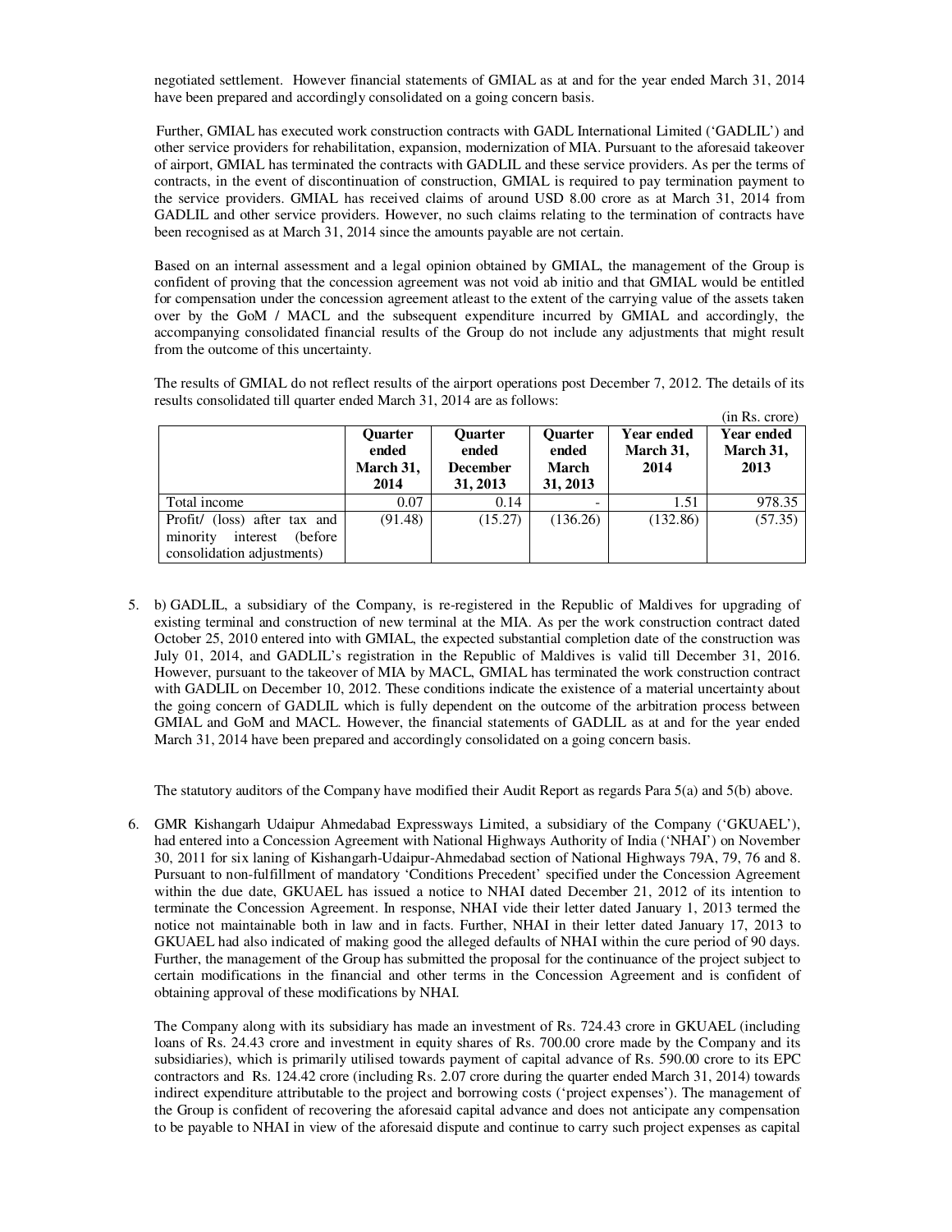negotiated settlement. However financial statements of GMIAL as at and for the year ended March 31, 2014 have been prepared and accordingly consolidated on a going concern basis.

Further, GMIAL has executed work construction contracts with GADL International Limited ('GADLIL') and other service providers for rehabilitation, expansion, modernization of MIA. Pursuant to the aforesaid takeover of airport, GMIAL has terminated the contracts with GADLIL and these service providers. As per the terms of contracts, in the event of discontinuation of construction, GMIAL is required to pay termination payment to the service providers. GMIAL has received claims of around USD 8.00 crore as at March 31, 2014 from GADLIL and other service providers. However, no such claims relating to the termination of contracts have been recognised as at March 31, 2014 since the amounts payable are not certain.

Based on an internal assessment and a legal opinion obtained by GMIAL, the management of the Group is confident of proving that the concession agreement was not void ab initio and that GMIAL would be entitled for compensation under the concession agreement atleast to the extent of the carrying value of the assets taken over by the GoM / MACL and the subsequent expenditure incurred by GMIAL and accordingly, the accompanying consolidated financial results of the Group do not include any adjustments that might result from the outcome of this uncertainty.

The results of GMIAL do not reflect results of the airport operations post December 7, 2012. The details of its results consolidated till quarter ended March 31, 2014 are as follows:  $\overline{c}$ . p.

|                                                                                                | <b>Ouarter</b><br>ended<br>March 31,<br>2014 | <b>Ouarter</b><br>ended<br><b>December</b><br>31, 2013 | <b>Quarter</b><br>ended<br><b>March</b><br>31, 2013 | Year ended<br>March 31,<br>2014 | (III KS. CIOIE)<br>Year ended<br>March 31,<br>2013 |
|------------------------------------------------------------------------------------------------|----------------------------------------------|--------------------------------------------------------|-----------------------------------------------------|---------------------------------|----------------------------------------------------|
| Total income                                                                                   | 0.07                                         | 0.14                                                   | ۰                                                   | 1.51                            | 978.35                                             |
| Profit/ (loss) after tax and<br>interest<br>(before)<br>minority<br>consolidation adjustments) | (91.48)                                      | (15.27)                                                | (136.26)                                            | (132.86)                        | (57.35)                                            |

5. b) GADLIL, a subsidiary of the Company, is re-registered in the Republic of Maldives for upgrading of existing terminal and construction of new terminal at the MIA. As per the work construction contract dated October 25, 2010 entered into with GMIAL, the expected substantial completion date of the construction was July 01, 2014, and GADLIL's registration in the Republic of Maldives is valid till December 31, 2016. However, pursuant to the takeover of MIA by MACL, GMIAL has terminated the work construction contract with GADLIL on December 10, 2012. These conditions indicate the existence of a material uncertainty about the going concern of GADLIL which is fully dependent on the outcome of the arbitration process between GMIAL and GoM and MACL. However, the financial statements of GADLIL as at and for the year ended March 31, 2014 have been prepared and accordingly consolidated on a going concern basis.

The statutory auditors of the Company have modified their Audit Report as regards Para 5(a) and 5(b) above.

6. GMR Kishangarh Udaipur Ahmedabad Expressways Limited, a subsidiary of the Company ('GKUAEL'), had entered into a Concession Agreement with National Highways Authority of India ('NHAI') on November 30, 2011 for six laning of Kishangarh-Udaipur-Ahmedabad section of National Highways 79A, 79, 76 and 8. Pursuant to non-fulfillment of mandatory 'Conditions Precedent' specified under the Concession Agreement within the due date, GKUAEL has issued a notice to NHAI dated December 21, 2012 of its intention to terminate the Concession Agreement. In response, NHAI vide their letter dated January 1, 2013 termed the notice not maintainable both in law and in facts. Further, NHAI in their letter dated January 17, 2013 to GKUAEL had also indicated of making good the alleged defaults of NHAI within the cure period of 90 days. Further, the management of the Group has submitted the proposal for the continuance of the project subject to certain modifications in the financial and other terms in the Concession Agreement and is confident of obtaining approval of these modifications by NHAI.

The Company along with its subsidiary has made an investment of Rs. 724.43 crore in GKUAEL (including loans of Rs. 24.43 crore and investment in equity shares of Rs. 700.00 crore made by the Company and its subsidiaries), which is primarily utilised towards payment of capital advance of Rs. 590.00 crore to its EPC contractors and Rs. 124.42 crore (including Rs. 2.07 crore during the quarter ended March 31, 2014) towards indirect expenditure attributable to the project and borrowing costs ('project expenses'). The management of the Group is confident of recovering the aforesaid capital advance and does not anticipate any compensation to be payable to NHAI in view of the aforesaid dispute and continue to carry such project expenses as capital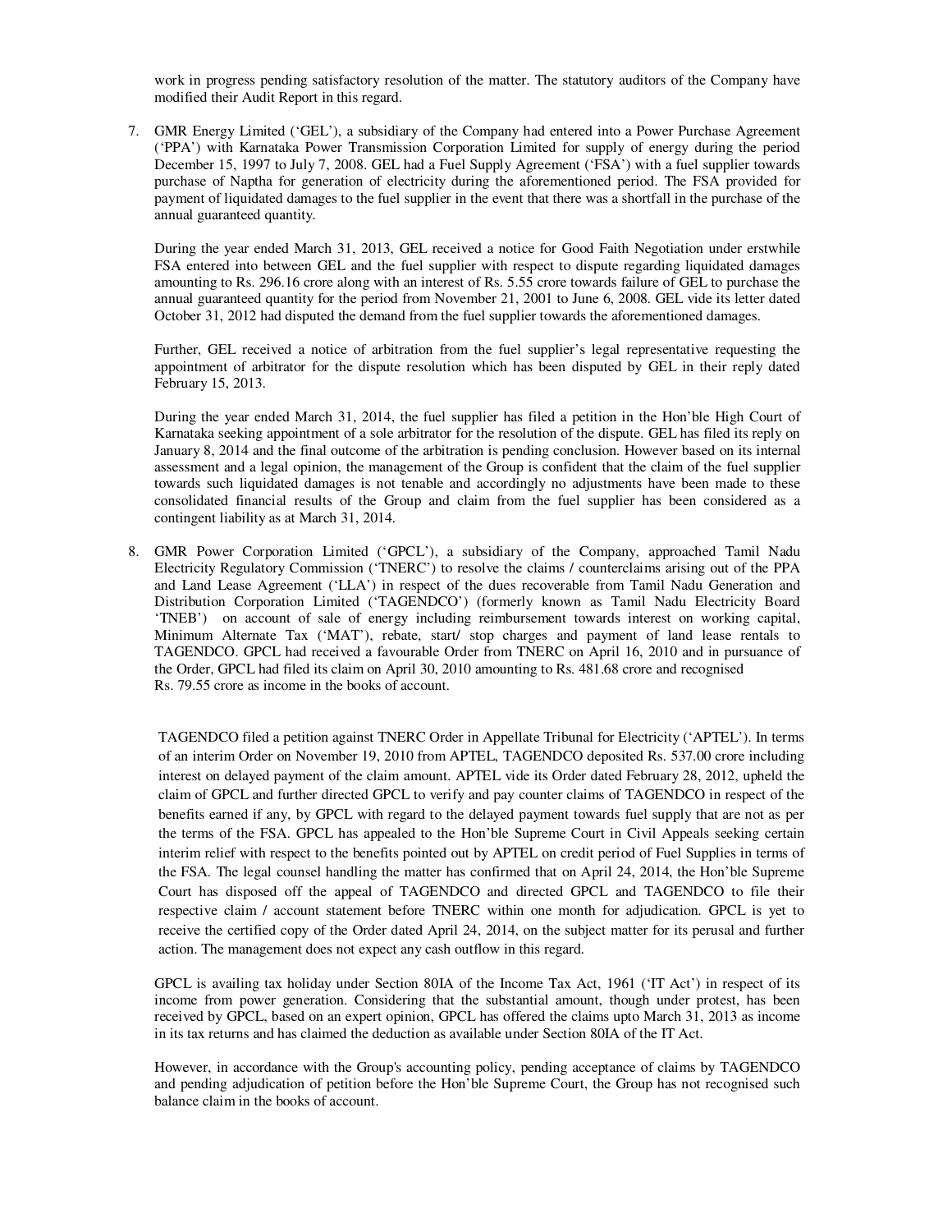work in progress pending satisfactory resolution of the matter. The statutory auditors of the Company have modified their Audit Report in this regard.

7. GMR Energy Limited ('GEL'), a subsidiary of the Company had entered into a Power Purchase Agreement ('PPA') with Karnataka Power Transmission Corporation Limited for supply of energy during the period December 15, 1997 to July 7, 2008. GEL had a Fuel Supply Agreement ('FSA') with a fuel supplier towards purchase of Naptha for generation of electricity during the aforementioned period. The FSA provided for payment of liquidated damages to the fuel supplier in the event that there was a shortfall in the purchase of the annual guaranteed quantity.

During the year ended March 31, 2013, GEL received a notice for Good Faith Negotiation under erstwhile FSA entered into between GEL and the fuel supplier with respect to dispute regarding liquidated damages amounting to Rs. 296.16 crore along with an interest of Rs. 5.55 crore towards failure of GEL to purchase the annual guaranteed quantity for the period from November 21, 2001 to June 6, 2008. GEL vide its letter dated October 31, 2012 had disputed the demand from the fuel supplier towards the aforementioned damages.

Further, GEL received a notice of arbitration from the fuel supplier's legal representative requesting the appointment of arbitrator for the dispute resolution which has been disputed by GEL in their reply dated February 15, 2013.

During the year ended March 31, 2014, the fuel supplier has filed a petition in the Hon'ble High Court of Karnataka seeking appointment of a sole arbitrator for the resolution of the dispute. GEL has filed its reply on January 8, 2014 and the final outcome of the arbitration is pending conclusion. However based on its internal assessment and a legal opinion, the management of the Group is confident that the claim of the fuel supplier towards such liquidated damages is not tenable and accordingly no adjustments have been made to these consolidated financial results of the Group and claim from the fuel supplier has been considered as a contingent liability as at March 31, 2014.

8. GMR Power Corporation Limited ('GPCL'), a subsidiary of the Company, approached Tamil Nadu Electricity Regulatory Commission ('TNERC') to resolve the claims / counterclaims arising out of the PPA and Land Lease Agreement ('LLA') in respect of the dues recoverable from Tamil Nadu Generation and Distribution Corporation Limited ('TAGENDCO') (formerly known as Tamil Nadu Electricity Board 'TNEB') on account of sale of energy including reimbursement towards interest on working capital, Minimum Alternate Tax ('MAT'), rebate, start/ stop charges and payment of land lease rentals to TAGENDCO. GPCL had received a favourable Order from TNERC on April 16, 2010 and in pursuance of the Order, GPCL had filed its claim on April 30, 2010 amounting to Rs. 481.68 crore and recognised Rs. 79.55 crore as income in the books of account.

TAGENDCO filed a petition against TNERC Order in Appellate Tribunal for Electricity ('APTEL'). In terms of an interim Order on November 19, 2010 from APTEL, TAGENDCO deposited Rs. 537.00 crore including interest on delayed payment of the claim amount. APTEL vide its Order dated February 28, 2012, upheld the claim of GPCL and further directed GPCL to verify and pay counter claims of TAGENDCO in respect of the benefits earned if any, by GPCL with regard to the delayed payment towards fuel supply that are not as per the terms of the FSA. GPCL has appealed to the Hon'ble Supreme Court in Civil Appeals seeking certain interim relief with respect to the benefits pointed out by APTEL on credit period of Fuel Supplies in terms of the FSA. The legal counsel handling the matter has confirmed that on April 24, 2014, the Hon'ble Supreme Court has disposed off the appeal of TAGENDCO and directed GPCL and TAGENDCO to file their respective claim / account statement before TNERC within one month for adjudication. GPCL is yet to receive the certified copy of the Order dated April 24, 2014, on the subject matter for its perusal and further action. The management does not expect any cash outflow in this regard.

GPCL is availing tax holiday under Section 80IA of the Income Tax Act, 1961 ('IT Act') in respect of its income from power generation. Considering that the substantial amount, though under protest, has been received by GPCL, based on an expert opinion, GPCL has offered the claims upto March 31, 2013 as income in its tax returns and has claimed the deduction as available under Section 80IA of the IT Act.

However, in accordance with the Group's accounting policy, pending acceptance of claims by TAGENDCO and pending adjudication of petition before the Hon'ble Supreme Court, the Group has not recognised such balance claim in the books of account.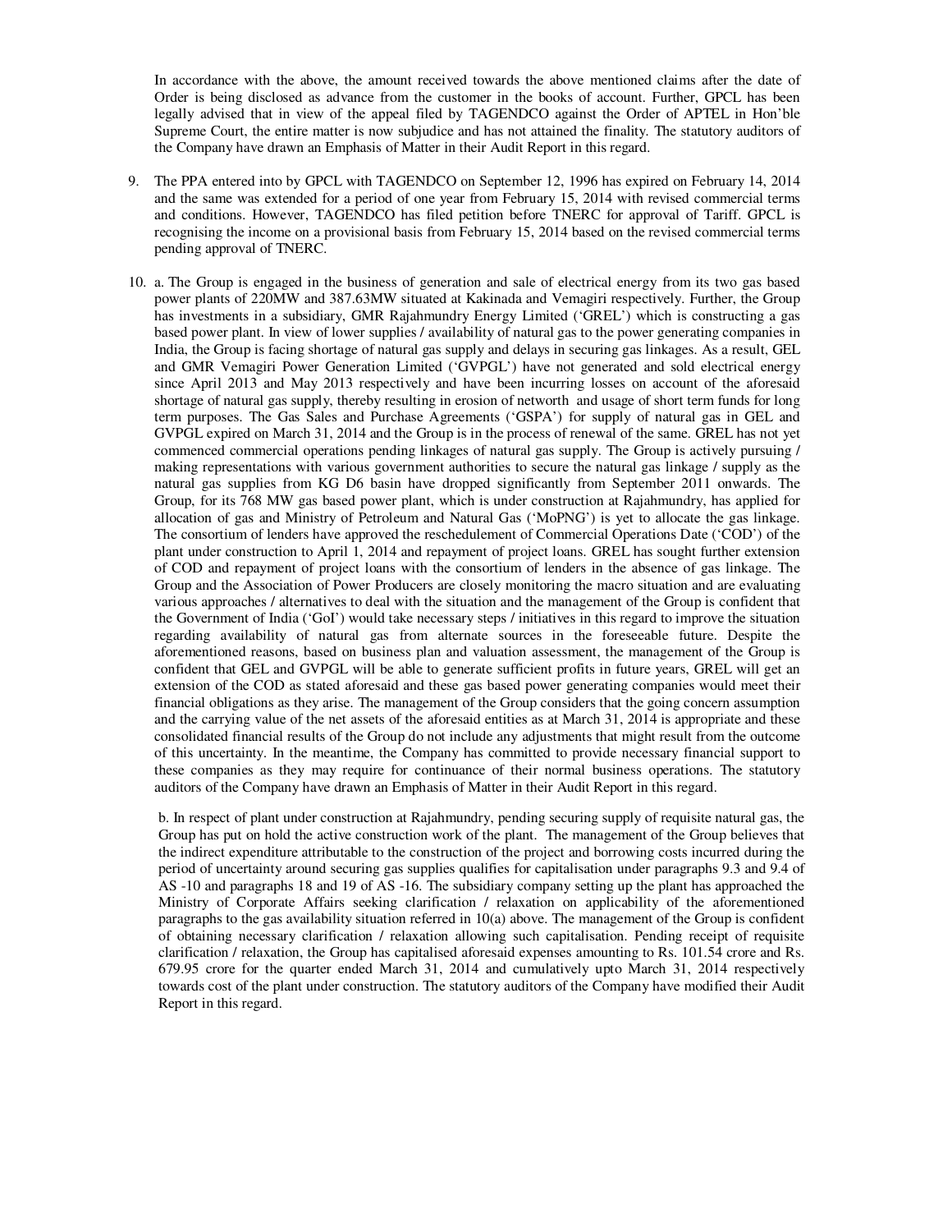In accordance with the above, the amount received towards the above mentioned claims after the date of Order is being disclosed as advance from the customer in the books of account. Further, GPCL has been legally advised that in view of the appeal filed by TAGENDCO against the Order of APTEL in Hon'ble Supreme Court, the entire matter is now subjudice and has not attained the finality. The statutory auditors of the Company have drawn an Emphasis of Matter in their Audit Report in this regard.

- 9. The PPA entered into by GPCL with TAGENDCO on September 12, 1996 has expired on February 14, 2014 and the same was extended for a period of one year from February 15, 2014 with revised commercial terms and conditions. However, TAGENDCO has filed petition before TNERC for approval of Tariff. GPCL is recognising the income on a provisional basis from February 15, 2014 based on the revised commercial terms pending approval of TNERC.
- 10. a. The Group is engaged in the business of generation and sale of electrical energy from its two gas based power plants of 220MW and 387.63MW situated at Kakinada and Vemagiri respectively. Further, the Group has investments in a subsidiary, GMR Rajahmundry Energy Limited ('GREL') which is constructing a gas based power plant. In view of lower supplies / availability of natural gas to the power generating companies in India, the Group is facing shortage of natural gas supply and delays in securing gas linkages. As a result, GEL and GMR Vemagiri Power Generation Limited ('GVPGL') have not generated and sold electrical energy since April 2013 and May 2013 respectively and have been incurring losses on account of the aforesaid shortage of natural gas supply, thereby resulting in erosion of networth and usage of short term funds for long term purposes. The Gas Sales and Purchase Agreements ('GSPA') for supply of natural gas in GEL and GVPGL expired on March 31, 2014 and the Group is in the process of renewal of the same. GREL has not yet commenced commercial operations pending linkages of natural gas supply. The Group is actively pursuing / making representations with various government authorities to secure the natural gas linkage / supply as the natural gas supplies from KG D6 basin have dropped significantly from September 2011 onwards. The Group, for its 768 MW gas based power plant, which is under construction at Rajahmundry, has applied for allocation of gas and Ministry of Petroleum and Natural Gas ('MoPNG') is yet to allocate the gas linkage. The consortium of lenders have approved the reschedulement of Commercial Operations Date ('COD') of the plant under construction to April 1, 2014 and repayment of project loans. GREL has sought further extension of COD and repayment of project loans with the consortium of lenders in the absence of gas linkage. The Group and the Association of Power Producers are closely monitoring the macro situation and are evaluating various approaches / alternatives to deal with the situation and the management of the Group is confident that the Government of India ('GoI') would take necessary steps / initiatives in this regard to improve the situation regarding availability of natural gas from alternate sources in the foreseeable future. Despite the aforementioned reasons, based on business plan and valuation assessment, the management of the Group is confident that GEL and GVPGL will be able to generate sufficient profits in future years, GREL will get an extension of the COD as stated aforesaid and these gas based power generating companies would meet their financial obligations as they arise. The management of the Group considers that the going concern assumption and the carrying value of the net assets of the aforesaid entities as at March 31, 2014 is appropriate and these consolidated financial results of the Group do not include any adjustments that might result from the outcome of this uncertainty. In the meantime, the Company has committed to provide necessary financial support to these companies as they may require for continuance of their normal business operations. The statutory auditors of the Company have drawn an Emphasis of Matter in their Audit Report in this regard.

b. In respect of plant under construction at Rajahmundry, pending securing supply of requisite natural gas, the Group has put on hold the active construction work of the plant. The management of the Group believes that the indirect expenditure attributable to the construction of the project and borrowing costs incurred during the period of uncertainty around securing gas supplies qualifies for capitalisation under paragraphs 9.3 and 9.4 of AS -10 and paragraphs 18 and 19 of AS -16. The subsidiary company setting up the plant has approached the Ministry of Corporate Affairs seeking clarification / relaxation on applicability of the aforementioned paragraphs to the gas availability situation referred in 10(a) above. The management of the Group is confident of obtaining necessary clarification / relaxation allowing such capitalisation. Pending receipt of requisite clarification / relaxation, the Group has capitalised aforesaid expenses amounting to Rs. 101.54 crore and Rs. 679.95 crore for the quarter ended March 31, 2014 and cumulatively upto March 31, 2014 respectively towards cost of the plant under construction. The statutory auditors of the Company have modified their Audit Report in this regard.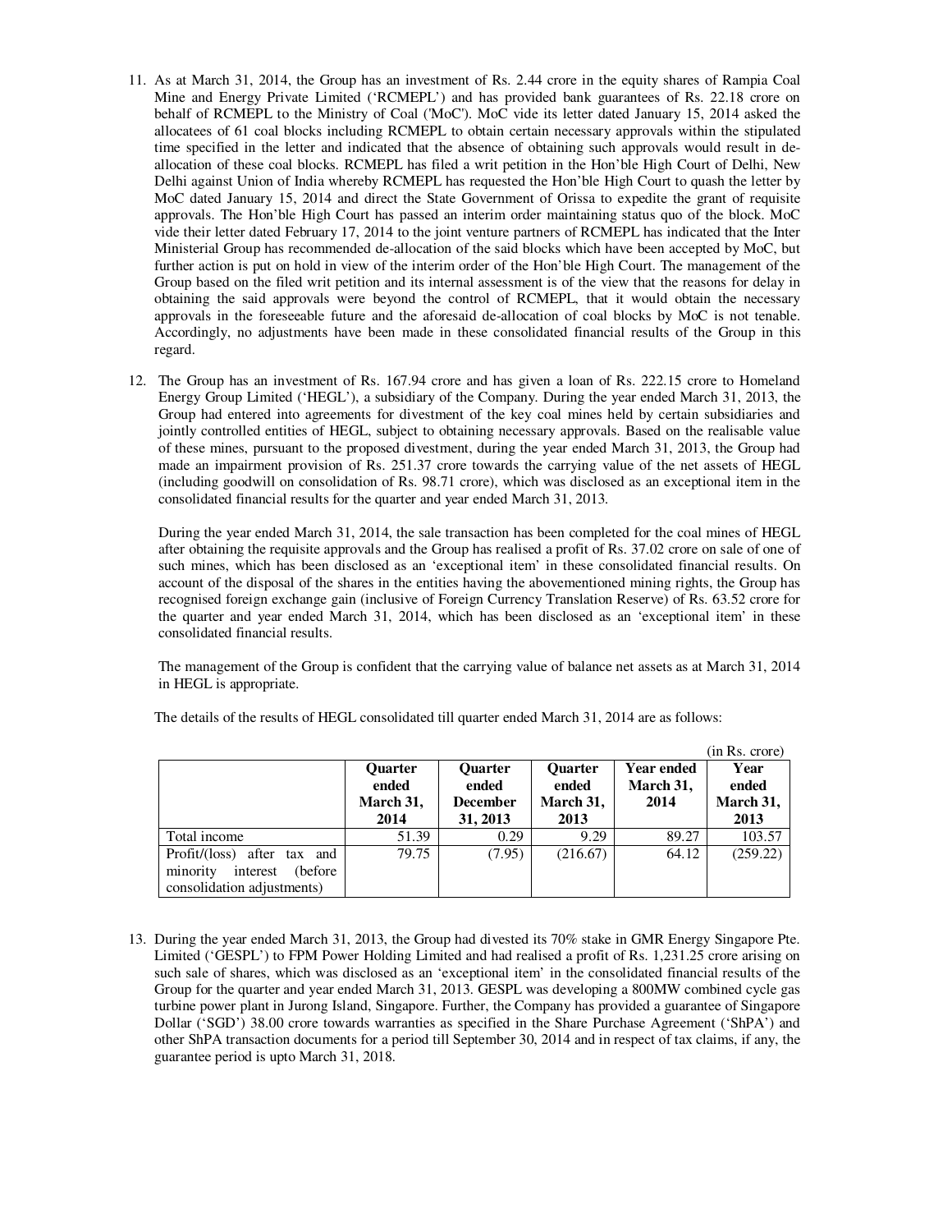- 11. As at March 31, 2014, the Group has an investment of Rs. 2.44 crore in the equity shares of Rampia Coal Mine and Energy Private Limited ('RCMEPL') and has provided bank guarantees of Rs. 22.18 crore on behalf of RCMEPL to the Ministry of Coal ('MoC'). MoC vide its letter dated January 15, 2014 asked the allocatees of 61 coal blocks including RCMEPL to obtain certain necessary approvals within the stipulated time specified in the letter and indicated that the absence of obtaining such approvals would result in deallocation of these coal blocks. RCMEPL has filed a writ petition in the Hon'ble High Court of Delhi, New Delhi against Union of India whereby RCMEPL has requested the Hon'ble High Court to quash the letter by MoC dated January 15, 2014 and direct the State Government of Orissa to expedite the grant of requisite approvals. The Hon'ble High Court has passed an interim order maintaining status quo of the block. MoC vide their letter dated February 17, 2014 to the joint venture partners of RCMEPL has indicated that the Inter Ministerial Group has recommended de-allocation of the said blocks which have been accepted by MoC, but further action is put on hold in view of the interim order of the Hon'ble High Court. The management of the Group based on the filed writ petition and its internal assessment is of the view that the reasons for delay in obtaining the said approvals were beyond the control of RCMEPL, that it would obtain the necessary approvals in the foreseeable future and the aforesaid de-allocation of coal blocks by MoC is not tenable. Accordingly, no adjustments have been made in these consolidated financial results of the Group in this regard.
- 12. The Group has an investment of Rs. 167.94 crore and has given a loan of Rs. 222.15 crore to Homeland Energy Group Limited ('HEGL'), a subsidiary of the Company. During the year ended March 31, 2013, the Group had entered into agreements for divestment of the key coal mines held by certain subsidiaries and jointly controlled entities of HEGL, subject to obtaining necessary approvals. Based on the realisable value of these mines, pursuant to the proposed divestment, during the year ended March 31, 2013, the Group had made an impairment provision of Rs. 251.37 crore towards the carrying value of the net assets of HEGL (including goodwill on consolidation of Rs. 98.71 crore), which was disclosed as an exceptional item in the consolidated financial results for the quarter and year ended March 31, 2013.

During the year ended March 31, 2014, the sale transaction has been completed for the coal mines of HEGL after obtaining the requisite approvals and the Group has realised a profit of Rs. 37.02 crore on sale of one of such mines, which has been disclosed as an 'exceptional item' in these consolidated financial results. On account of the disposal of the shares in the entities having the abovementioned mining rights, the Group has recognised foreign exchange gain (inclusive of Foreign Currency Translation Reserve) of Rs. 63.52 crore for the quarter and year ended March 31, 2014, which has been disclosed as an 'exceptional item' in these consolidated financial results.

The management of the Group is confident that the carrying value of balance net assets as at March 31, 2014 in HEGL is appropriate.

| The details of the results of HEGL consolidated till quarter ended March 31, 2014 are as follows: |
|---------------------------------------------------------------------------------------------------|
|---------------------------------------------------------------------------------------------------|

|                                  |                |                 |                |                   | (in Rs. crore) |
|----------------------------------|----------------|-----------------|----------------|-------------------|----------------|
|                                  | <b>Ouarter</b> | <b>Ouarter</b>  | <b>Ouarter</b> | <b>Year ended</b> | Year           |
|                                  | ended          | ended           | ended          | March 31,         | ended          |
|                                  | March 31,      | <b>December</b> | March 31,      | 2014              | March 31,      |
|                                  | 2014           | 31, 2013        | 2013           |                   | 2013           |
| Total income                     | 51.39          | 0.29            | 9.29           | 89.27             | 103.57         |
| Profit/(loss) after tax and      | 79.75          | (7.95)          | (216.67)       | 64.12             | (259.22)       |
| interest<br>minority<br>(before) |                |                 |                |                   |                |
| consolidation adjustments)       |                |                 |                |                   |                |

13. During the year ended March 31, 2013, the Group had divested its 70% stake in GMR Energy Singapore Pte. Limited ('GESPL') to FPM Power Holding Limited and had realised a profit of Rs. 1,231.25 crore arising on such sale of shares, which was disclosed as an 'exceptional item' in the consolidated financial results of the Group for the quarter and year ended March 31, 2013. GESPL was developing a 800MW combined cycle gas turbine power plant in Jurong Island, Singapore. Further, the Company has provided a guarantee of Singapore Dollar ('SGD') 38.00 crore towards warranties as specified in the Share Purchase Agreement ('ShPA') and other ShPA transaction documents for a period till September 30, 2014 and in respect of tax claims, if any, the guarantee period is upto March 31, 2018.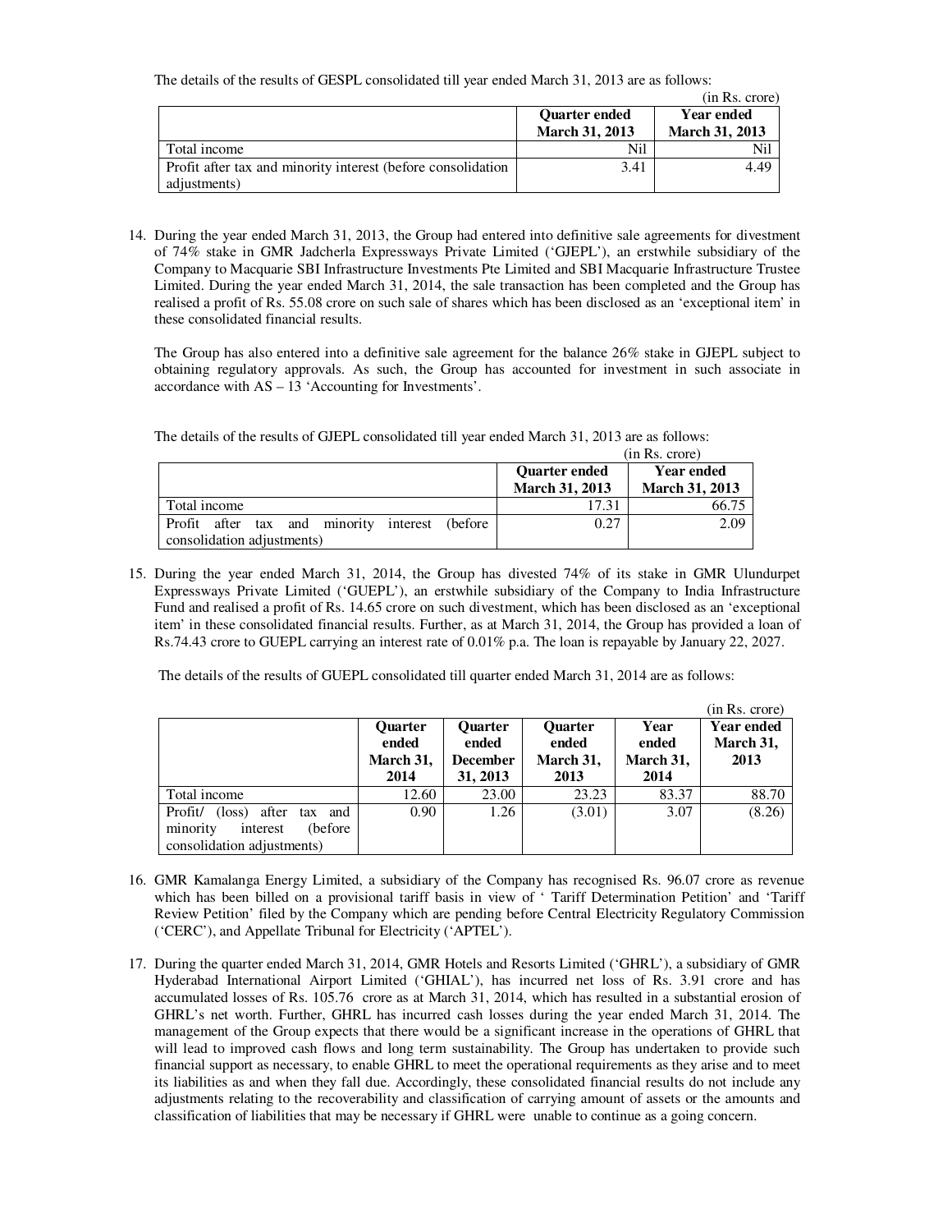The details of the results of GESPL consolidated till year ended March 31, 2013 are as follows:

|                                                              |                       | (in Rs. crore)        |
|--------------------------------------------------------------|-----------------------|-----------------------|
|                                                              | <b>Quarter ended</b>  | <b>Year ended</b>     |
|                                                              | <b>March 31, 2013</b> | <b>March 31, 2013</b> |
| Total income                                                 | Nil                   | Nil                   |
| Profit after tax and minority interest (before consolidation | 3.41                  | 4.49                  |
| adjustments)                                                 |                       |                       |

14. During the year ended March 31, 2013, the Group had entered into definitive sale agreements for divestment of 74% stake in GMR Jadcherla Expressways Private Limited ('GJEPL'), an erstwhile subsidiary of the Company to Macquarie SBI Infrastructure Investments Pte Limited and SBI Macquarie Infrastructure Trustee Limited. During the year ended March 31, 2014, the sale transaction has been completed and the Group has realised a profit of Rs. 55.08 crore on such sale of shares which has been disclosed as an 'exceptional item' in these consolidated financial results.

The Group has also entered into a definitive sale agreement for the balance 26% stake in GJEPL subject to obtaining regulatory approvals. As such, the Group has accounted for investment in such associate in accordance with AS – 13 'Accounting for Investments'.

| The details of the results of GJEPL consolidated till year ended March 31, 2013 are as follows: |  |
|-------------------------------------------------------------------------------------------------|--|
|-------------------------------------------------------------------------------------------------|--|

|                                                                                  | (in Rs. crore)                                |                                            |  |
|----------------------------------------------------------------------------------|-----------------------------------------------|--------------------------------------------|--|
|                                                                                  | <b>Quarter ended</b><br><b>March 31, 2013</b> | <b>Year ended</b><br><b>March 31, 2013</b> |  |
| Total income                                                                     | 17.31                                         | 66.75                                      |  |
| Profit after tax and minority interest<br>(before)<br>consolidation adjustments) | 0.27                                          | 2.09                                       |  |

15. During the year ended March 31, 2014, the Group has divested 74% of its stake in GMR Ulundurpet Expressways Private Limited ('GUEPL'), an erstwhile subsidiary of the Company to India Infrastructure Fund and realised a profit of Rs. 14.65 crore on such divestment, which has been disclosed as an 'exceptional item' in these consolidated financial results. Further, as at March 31, 2014, the Group has provided a loan of Rs.74.43 crore to GUEPL carrying an interest rate of 0.01% p.a. The loan is repayable by January 22, 2027.

The details of the results of GUEPL consolidated till quarter ended March 31, 2014 are as follows:

|                                    |                |                 |                |           | (in Rs. crore)    |
|------------------------------------|----------------|-----------------|----------------|-----------|-------------------|
|                                    | <b>Ouarter</b> | <b>Ouarter</b>  | <b>Ouarter</b> | Year      | <b>Year ended</b> |
|                                    | ended          | ended           | ended          | ended     | March 31,         |
|                                    | March 31,      | <b>December</b> | March 31,      | March 31, | 2013              |
|                                    | 2014           | 31, 2013        | 2013           | 2014      |                   |
| Total income                       | 12.60          | 23.00           | 23.23          | 83.37     | 88.70             |
| Profit/<br>(loss) after<br>tax and | 0.90           | 1.26            | (3.01)         | 3.07      | (8.26)            |
| minority<br>(before)<br>interest   |                |                 |                |           |                   |
| consolidation adjustments)         |                |                 |                |           |                   |

- 16. GMR Kamalanga Energy Limited, a subsidiary of the Company has recognised Rs. 96.07 crore as revenue which has been billed on a provisional tariff basis in view of ' Tariff Determination Petition' and 'Tariff Review Petition' filed by the Company which are pending before Central Electricity Regulatory Commission ('CERC'), and Appellate Tribunal for Electricity ('APTEL').
- 17. During the quarter ended March 31, 2014, GMR Hotels and Resorts Limited ('GHRL'), a subsidiary of GMR Hyderabad International Airport Limited ('GHIAL'), has incurred net loss of Rs. 3.91 crore and has accumulated losses of Rs. 105.76 crore as at March 31, 2014, which has resulted in a substantial erosion of GHRL's net worth. Further, GHRL has incurred cash losses during the year ended March 31, 2014. The management of the Group expects that there would be a significant increase in the operations of GHRL that will lead to improved cash flows and long term sustainability. The Group has undertaken to provide such financial support as necessary, to enable GHRL to meet the operational requirements as they arise and to meet its liabilities as and when they fall due. Accordingly, these consolidated financial results do not include any adjustments relating to the recoverability and classification of carrying amount of assets or the amounts and classification of liabilities that may be necessary if GHRL were unable to continue as a going concern.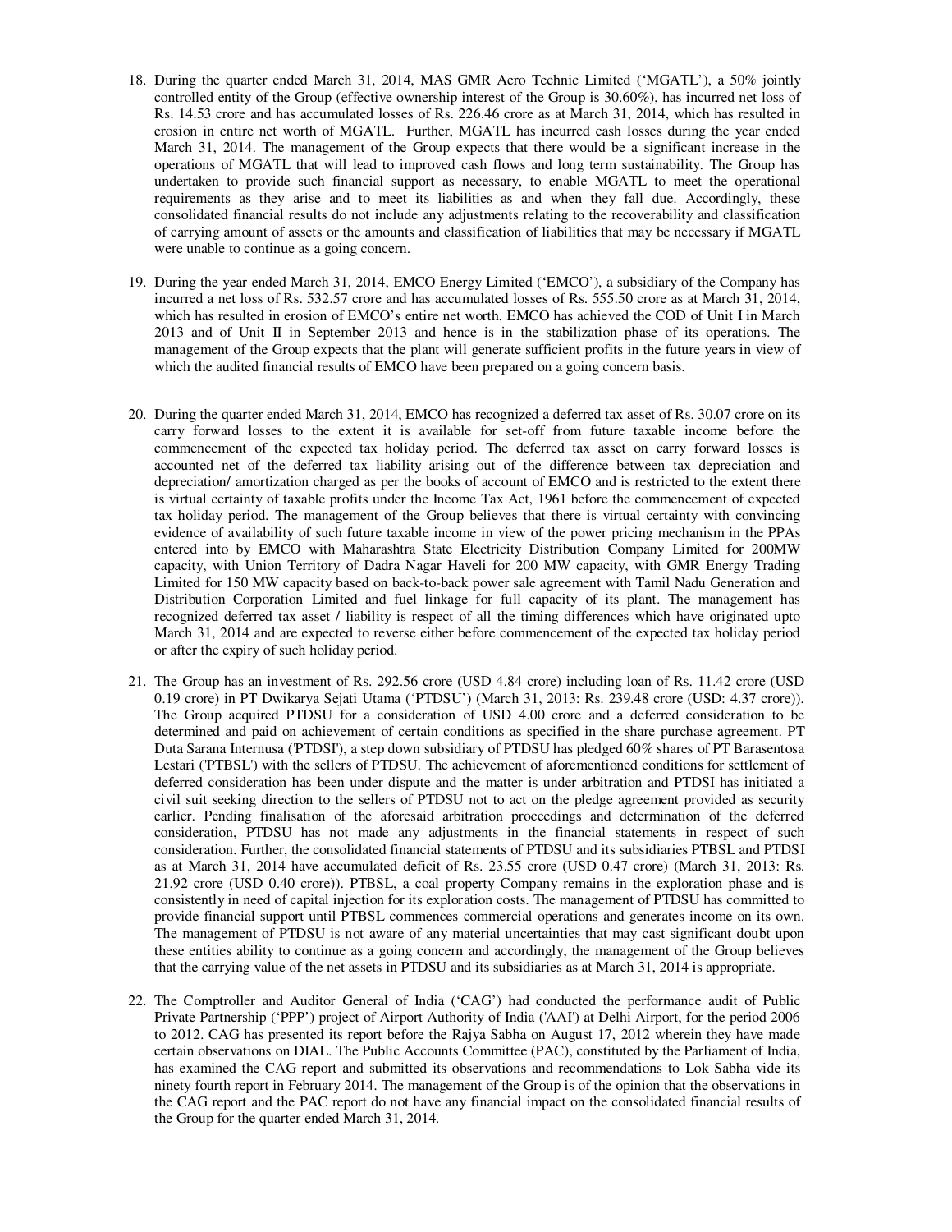- 18. During the quarter ended March 31, 2014, MAS GMR Aero Technic Limited ('MGATL'), a 50% jointly controlled entity of the Group (effective ownership interest of the Group is 30.60%), has incurred net loss of Rs. 14.53 crore and has accumulated losses of Rs. 226.46 crore as at March 31, 2014, which has resulted in erosion in entire net worth of MGATL. Further, MGATL has incurred cash losses during the year ended March 31, 2014. The management of the Group expects that there would be a significant increase in the operations of MGATL that will lead to improved cash flows and long term sustainability. The Group has undertaken to provide such financial support as necessary, to enable MGATL to meet the operational requirements as they arise and to meet its liabilities as and when they fall due. Accordingly, these consolidated financial results do not include any adjustments relating to the recoverability and classification of carrying amount of assets or the amounts and classification of liabilities that may be necessary if MGATL were unable to continue as a going concern.
- 19. During the year ended March 31, 2014, EMCO Energy Limited ('EMCO'), a subsidiary of the Company has incurred a net loss of Rs. 532.57 crore and has accumulated losses of Rs. 555.50 crore as at March 31, 2014, which has resulted in erosion of EMCO's entire net worth. EMCO has achieved the COD of Unit I in March 2013 and of Unit II in September 2013 and hence is in the stabilization phase of its operations. The management of the Group expects that the plant will generate sufficient profits in the future years in view of which the audited financial results of EMCO have been prepared on a going concern basis.
- 20. During the quarter ended March 31, 2014, EMCO has recognized a deferred tax asset of Rs. 30.07 crore on its carry forward losses to the extent it is available for set-off from future taxable income before the commencement of the expected tax holiday period. The deferred tax asset on carry forward losses is accounted net of the deferred tax liability arising out of the difference between tax depreciation and depreciation/ amortization charged as per the books of account of EMCO and is restricted to the extent there is virtual certainty of taxable profits under the Income Tax Act, 1961 before the commencement of expected tax holiday period. The management of the Group believes that there is virtual certainty with convincing evidence of availability of such future taxable income in view of the power pricing mechanism in the PPAs entered into by EMCO with Maharashtra State Electricity Distribution Company Limited for 200MW capacity, with Union Territory of Dadra Nagar Haveli for 200 MW capacity, with GMR Energy Trading Limited for 150 MW capacity based on back-to-back power sale agreement with Tamil Nadu Generation and Distribution Corporation Limited and fuel linkage for full capacity of its plant. The management has recognized deferred tax asset / liability is respect of all the timing differences which have originated upto March 31, 2014 and are expected to reverse either before commencement of the expected tax holiday period or after the expiry of such holiday period.
- 21. The Group has an investment of Rs. 292.56 crore (USD 4.84 crore) including loan of Rs. 11.42 crore (USD 0.19 crore) in PT Dwikarya Sejati Utama ('PTDSU') (March 31, 2013: Rs. 239.48 crore (USD: 4.37 crore)). The Group acquired PTDSU for a consideration of USD 4.00 crore and a deferred consideration to be determined and paid on achievement of certain conditions as specified in the share purchase agreement. PT Duta Sarana Internusa ('PTDSI'), a step down subsidiary of PTDSU has pledged 60% shares of PT Barasentosa Lestari ('PTBSL') with the sellers of PTDSU. The achievement of aforementioned conditions for settlement of deferred consideration has been under dispute and the matter is under arbitration and PTDSI has initiated a civil suit seeking direction to the sellers of PTDSU not to act on the pledge agreement provided as security earlier. Pending finalisation of the aforesaid arbitration proceedings and determination of the deferred consideration, PTDSU has not made any adjustments in the financial statements in respect of such consideration. Further, the consolidated financial statements of PTDSU and its subsidiaries PTBSL and PTDSI as at March 31, 2014 have accumulated deficit of Rs. 23.55 crore (USD 0.47 crore) (March 31, 2013: Rs. 21.92 crore (USD 0.40 crore)). PTBSL, a coal property Company remains in the exploration phase and is consistently in need of capital injection for its exploration costs. The management of PTDSU has committed to provide financial support until PTBSL commences commercial operations and generates income on its own. The management of PTDSU is not aware of any material uncertainties that may cast significant doubt upon these entities ability to continue as a going concern and accordingly, the management of the Group believes that the carrying value of the net assets in PTDSU and its subsidiaries as at March 31, 2014 is appropriate.
- 22. The Comptroller and Auditor General of India ('CAG') had conducted the performance audit of Public Private Partnership ('PPP') project of Airport Authority of India ('AAI') at Delhi Airport, for the period 2006 to 2012. CAG has presented its report before the Rajya Sabha on August 17, 2012 wherein they have made certain observations on DIAL. The Public Accounts Committee (PAC), constituted by the Parliament of India, has examined the CAG report and submitted its observations and recommendations to Lok Sabha vide its ninety fourth report in February 2014. The management of the Group is of the opinion that the observations in the CAG report and the PAC report do not have any financial impact on the consolidated financial results of the Group for the quarter ended March 31, 2014.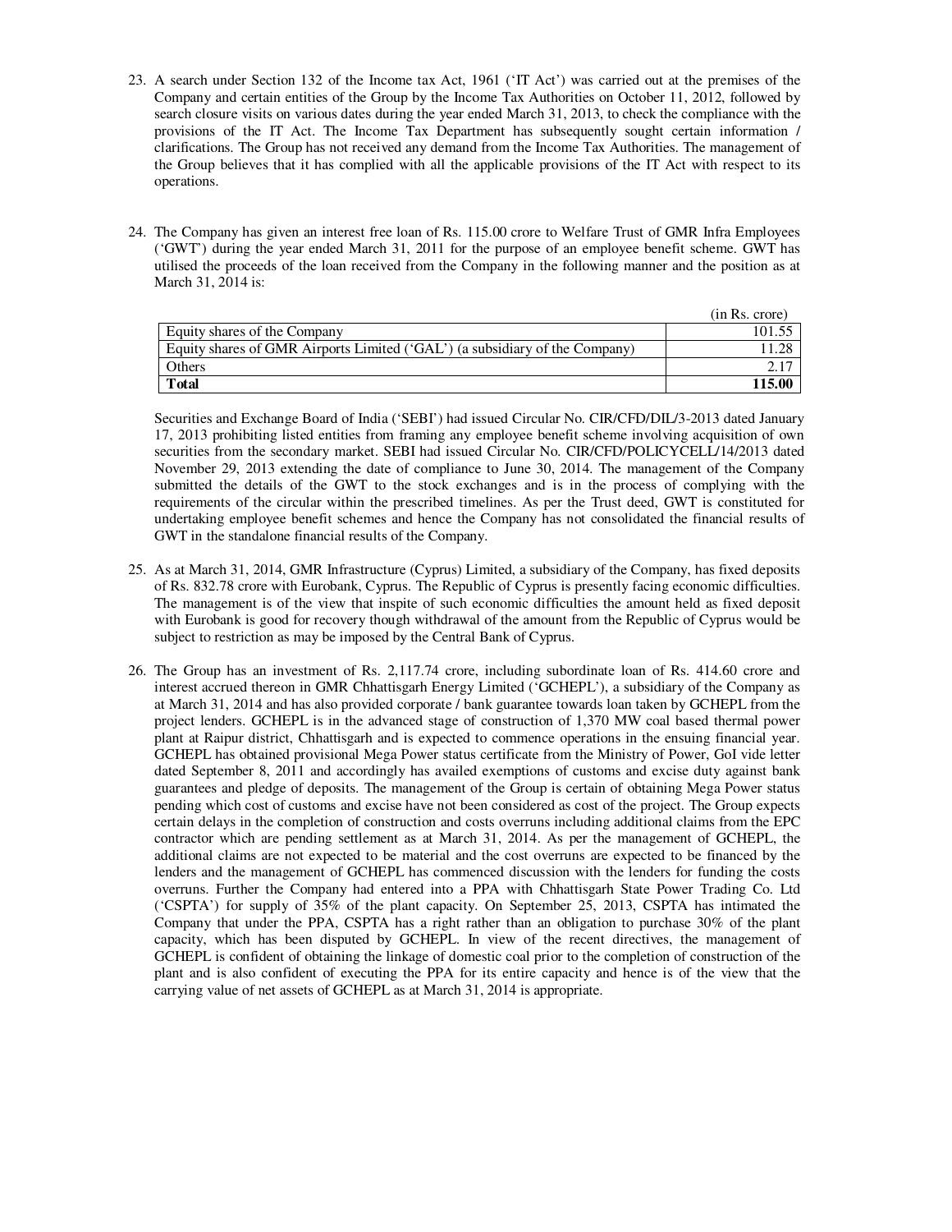- 23. A search under Section 132 of the Income tax Act, 1961 ('IT Act') was carried out at the premises of the Company and certain entities of the Group by the Income Tax Authorities on October 11, 2012, followed by search closure visits on various dates during the year ended March 31, 2013, to check the compliance with the provisions of the IT Act. The Income Tax Department has subsequently sought certain information / clarifications. The Group has not received any demand from the Income Tax Authorities. The management of the Group believes that it has complied with all the applicable provisions of the IT Act with respect to its operations.
- 24. The Company has given an interest free loan of Rs. 115.00 crore to Welfare Trust of GMR Infra Employees ('GWT') during the year ended March 31, 2011 for the purpose of an employee benefit scheme. GWT has utilised the proceeds of the loan received from the Company in the following manner and the position as at March 31, 2014 is:

|                                                                             | (in Rs. crore) |
|-----------------------------------------------------------------------------|----------------|
| Equity shares of the Company                                                | 101.55         |
| Equity shares of GMR Airports Limited ('GAL') (a subsidiary of the Company) |                |
| Others                                                                      |                |
| Total                                                                       | 115.00         |

Securities and Exchange Board of India ('SEBI') had issued Circular No. CIR/CFD/DIL/3-2013 dated January 17, 2013 prohibiting listed entities from framing any employee benefit scheme involving acquisition of own securities from the secondary market. SEBI had issued Circular No. CIR/CFD/POLICYCELL/14/2013 dated November 29, 2013 extending the date of compliance to June 30, 2014. The management of the Company submitted the details of the GWT to the stock exchanges and is in the process of complying with the requirements of the circular within the prescribed timelines. As per the Trust deed, GWT is constituted for undertaking employee benefit schemes and hence the Company has not consolidated the financial results of GWT in the standalone financial results of the Company.

- 25. As at March 31, 2014, GMR Infrastructure (Cyprus) Limited, a subsidiary of the Company, has fixed deposits of Rs. 832.78 crore with Eurobank, Cyprus. The Republic of Cyprus is presently facing economic difficulties. The management is of the view that inspite of such economic difficulties the amount held as fixed deposit with Eurobank is good for recovery though withdrawal of the amount from the Republic of Cyprus would be subject to restriction as may be imposed by the Central Bank of Cyprus.
- 26. The Group has an investment of Rs. 2,117.74 crore, including subordinate loan of Rs. 414.60 crore and interest accrued thereon in GMR Chhattisgarh Energy Limited ('GCHEPL'), a subsidiary of the Company as at March 31, 2014 and has also provided corporate / bank guarantee towards loan taken by GCHEPL from the project lenders. GCHEPL is in the advanced stage of construction of 1,370 MW coal based thermal power plant at Raipur district, Chhattisgarh and is expected to commence operations in the ensuing financial year. GCHEPL has obtained provisional Mega Power status certificate from the Ministry of Power, GoI vide letter dated September 8, 2011 and accordingly has availed exemptions of customs and excise duty against bank guarantees and pledge of deposits. The management of the Group is certain of obtaining Mega Power status pending which cost of customs and excise have not been considered as cost of the project. The Group expects certain delays in the completion of construction and costs overruns including additional claims from the EPC contractor which are pending settlement as at March 31, 2014. As per the management of GCHEPL, the additional claims are not expected to be material and the cost overruns are expected to be financed by the lenders and the management of GCHEPL has commenced discussion with the lenders for funding the costs overruns. Further the Company had entered into a PPA with Chhattisgarh State Power Trading Co. Ltd ('CSPTA') for supply of 35% of the plant capacity. On September 25, 2013, CSPTA has intimated the Company that under the PPA, CSPTA has a right rather than an obligation to purchase 30% of the plant capacity, which has been disputed by GCHEPL. In view of the recent directives, the management of GCHEPL is confident of obtaining the linkage of domestic coal prior to the completion of construction of the plant and is also confident of executing the PPA for its entire capacity and hence is of the view that the carrying value of net assets of GCHEPL as at March 31, 2014 is appropriate.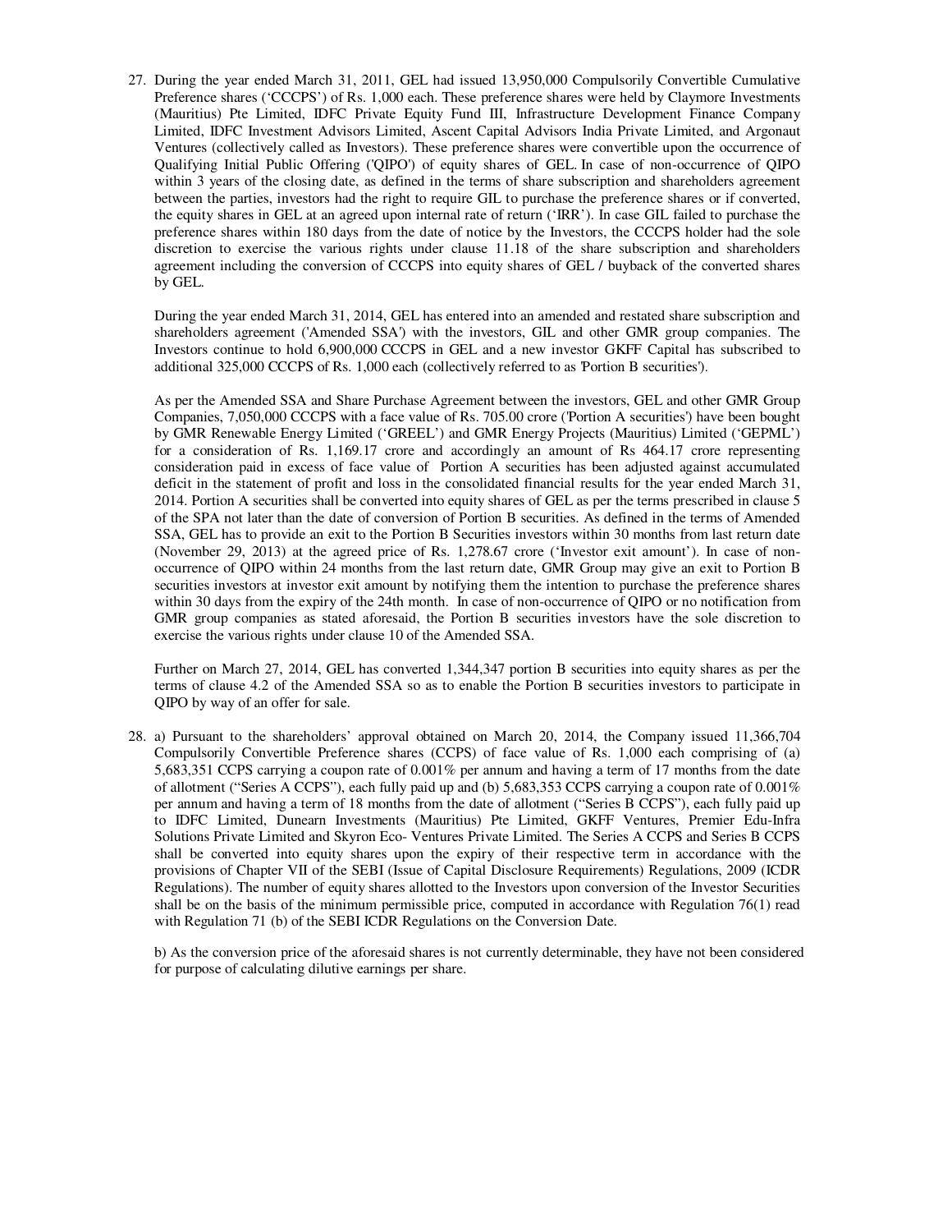27. During the year ended March 31, 2011, GEL had issued 13,950,000 Compulsorily Convertible Cumulative Preference shares ('CCCPS') of Rs. 1,000 each. These preference shares were held by Claymore Investments (Mauritius) Pte Limited, IDFC Private Equity Fund III, Infrastructure Development Finance Company Limited, IDFC Investment Advisors Limited, Ascent Capital Advisors India Private Limited, and Argonaut Ventures (collectively called as Investors). These preference shares were convertible upon the occurrence of Qualifying Initial Public Offering ('QIPO') of equity shares of GEL. In case of non-occurrence of QIPO within 3 years of the closing date, as defined in the terms of share subscription and shareholders agreement between the parties, investors had the right to require GIL to purchase the preference shares or if converted, the equity shares in GEL at an agreed upon internal rate of return ('IRR'). In case GIL failed to purchase the preference shares within 180 days from the date of notice by the Investors, the CCCPS holder had the sole discretion to exercise the various rights under clause 11.18 of the share subscription and shareholders agreement including the conversion of CCCPS into equity shares of GEL / buyback of the converted shares by GEL.

During the year ended March 31, 2014, GEL has entered into an amended and restated share subscription and shareholders agreement ('Amended SSA') with the investors, GIL and other GMR group companies. The Investors continue to hold 6,900,000 CCCPS in GEL and a new investor GKFF Capital has subscribed to additional 325,000 CCCPS of Rs. 1,000 each (collectively referred to as 'Portion B securities').

As per the Amended SSA and Share Purchase Agreement between the investors, GEL and other GMR Group Companies, 7,050,000 CCCPS with a face value of Rs. 705.00 crore ('Portion A securities') have been bought by GMR Renewable Energy Limited ('GREEL') and GMR Energy Projects (Mauritius) Limited ('GEPML') for a consideration of Rs. 1,169.17 crore and accordingly an amount of Rs 464.17 crore representing consideration paid in excess of face value of Portion A securities has been adjusted against accumulated deficit in the statement of profit and loss in the consolidated financial results for the year ended March 31, 2014. Portion A securities shall be converted into equity shares of GEL as per the terms prescribed in clause 5 of the SPA not later than the date of conversion of Portion B securities. As defined in the terms of Amended SSA, GEL has to provide an exit to the Portion B Securities investors within 30 months from last return date (November 29, 2013) at the agreed price of Rs. 1,278.67 crore ('Investor exit amount'). In case of nonoccurrence of QIPO within 24 months from the last return date, GMR Group may give an exit to Portion B securities investors at investor exit amount by notifying them the intention to purchase the preference shares within 30 days from the expiry of the 24th month. In case of non-occurrence of QIPO or no notification from GMR group companies as stated aforesaid, the Portion B securities investors have the sole discretion to exercise the various rights under clause 10 of the Amended SSA.

Further on March 27, 2014, GEL has converted 1,344,347 portion B securities into equity shares as per the terms of clause 4.2 of the Amended SSA so as to enable the Portion B securities investors to participate in QIPO by way of an offer for sale.

28. a) Pursuant to the shareholders' approval obtained on March 20, 2014, the Company issued 11,366,704 Compulsorily Convertible Preference shares (CCPS) of face value of Rs. 1,000 each comprising of (a) 5,683,351 CCPS carrying a coupon rate of 0.001% per annum and having a term of 17 months from the date of allotment ("Series A CCPS"), each fully paid up and (b) 5,683,353 CCPS carrying a coupon rate of 0.001% per annum and having a term of 18 months from the date of allotment ("Series B CCPS"), each fully paid up to IDFC Limited, Dunearn Investments (Mauritius) Pte Limited, GKFF Ventures, Premier Edu-Infra Solutions Private Limited and Skyron Eco- Ventures Private Limited. The Series A CCPS and Series B CCPS shall be converted into equity shares upon the expiry of their respective term in accordance with the provisions of Chapter VII of the SEBI (Issue of Capital Disclosure Requirements) Regulations, 2009 (ICDR Regulations). The number of equity shares allotted to the Investors upon conversion of the Investor Securities shall be on the basis of the minimum permissible price, computed in accordance with Regulation 76(1) read with Regulation 71 (b) of the SEBI ICDR Regulations on the Conversion Date.

b) As the conversion price of the aforesaid shares is not currently determinable, they have not been considered for purpose of calculating dilutive earnings per share.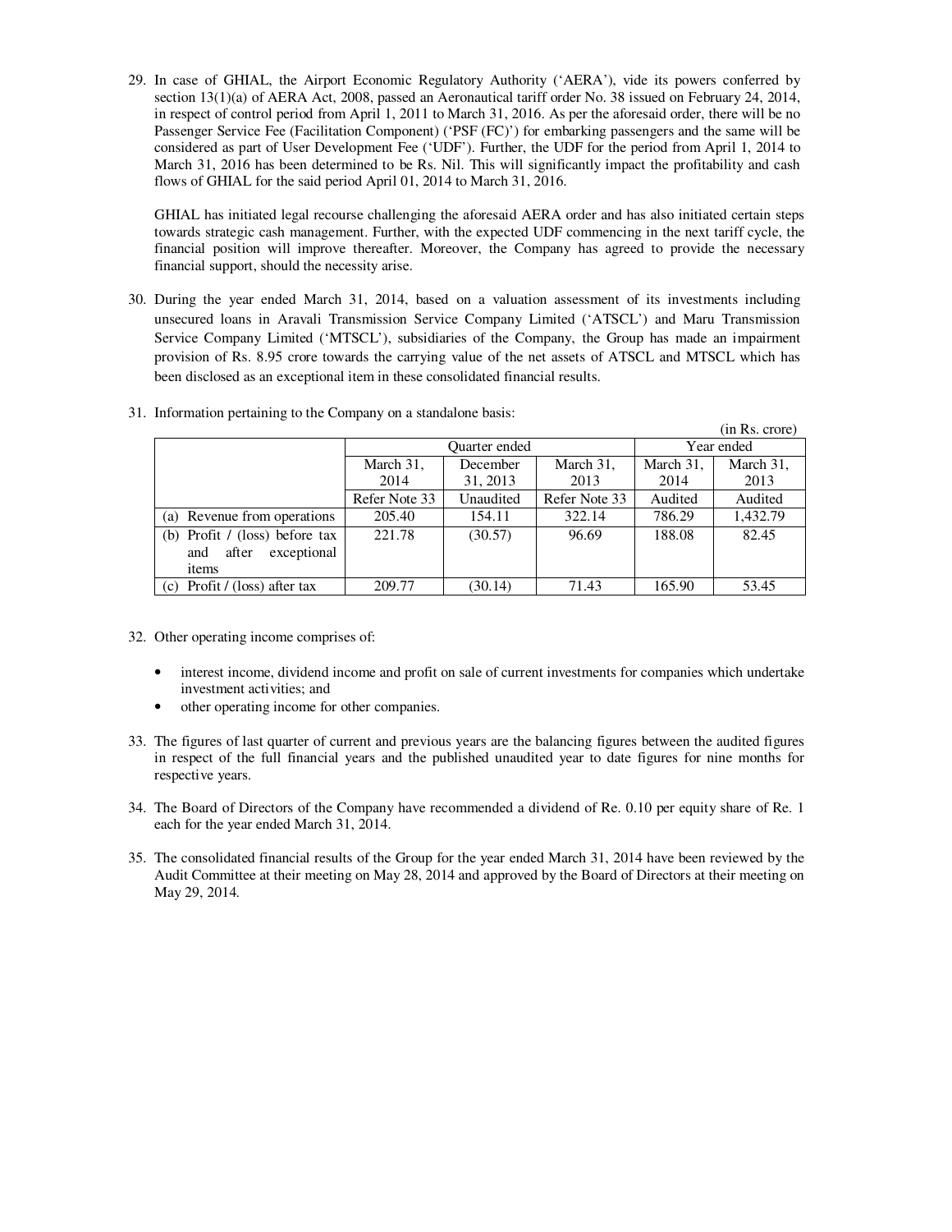29. In case of GHIAL, the Airport Economic Regulatory Authority ('AERA'), vide its powers conferred by section 13(1)(a) of AERA Act, 2008, passed an Aeronautical tariff order No. 38 issued on February 24, 2014, in respect of control period from April 1, 2011 to March 31, 2016. As per the aforesaid order, there will be no Passenger Service Fee (Facilitation Component) ('PSF (FC)') for embarking passengers and the same will be considered as part of User Development Fee ('UDF'). Further, the UDF for the period from April 1, 2014 to March 31, 2016 has been determined to be Rs. Nil. This will significantly impact the profitability and cash flows of GHIAL for the said period April 01, 2014 to March 31, 2016.

GHIAL has initiated legal recourse challenging the aforesaid AERA order and has also initiated certain steps towards strategic cash management. Further, with the expected UDF commencing in the next tariff cycle, the financial position will improve thereafter. Moreover, the Company has agreed to provide the necessary financial support, should the necessity arise.

30. During the year ended March 31, 2014, based on a valuation assessment of its investments including unsecured loans in Aravali Transmission Service Company Limited ('ATSCL') and Maru Transmission Service Company Limited ('MTSCL'), subsidiaries of the Company, the Group has made an impairment provision of Rs. 8.95 crore towards the carrying value of the net assets of ATSCL and MTSCL which has been disclosed as an exceptional item in these consolidated financial results.

|                                  |                      |           |               |            | (in Rs. crore) |
|----------------------------------|----------------------|-----------|---------------|------------|----------------|
|                                  | <b>Ouarter</b> ended |           |               | Year ended |                |
|                                  | March 31,            | December  | March 31,     | March 31,  | March 31,      |
|                                  | 2014                 | 31, 2013  | 2013          | 2014       | 2013           |
|                                  | Refer Note 33        | Unaudited | Refer Note 33 | Audited    | Audited        |
| (a) Revenue from operations      | 205.40               | 154.11    | 322.14        | 786.29     | 1,432.79       |
| (b) Profit $/$ (loss) before tax | 221.78               | (30.57)   | 96.69         | 188.08     | 82.45          |
| exceptional<br>after<br>and      |                      |           |               |            |                |
| items                            |                      |           |               |            |                |
| Profit / (loss) after tax<br>(c) | 209.77               | (30.14)   | 71.43         | 165.90     | 53.45          |

31. Information pertaining to the Company on a standalone basis:

- 32. Other operating income comprises of:
	- interest income, dividend income and profit on sale of current investments for companies which undertake investment activities; and
	- other operating income for other companies.
- 33. The figures of last quarter of current and previous years are the balancing figures between the audited figures in respect of the full financial years and the published unaudited year to date figures for nine months for respective years.
- 34. The Board of Directors of the Company have recommended a dividend of Re. 0.10 per equity share of Re. 1 each for the year ended March 31, 2014.
- 35. The consolidated financial results of the Group for the year ended March 31, 2014 have been reviewed by the Audit Committee at their meeting on May 28, 2014 and approved by the Board of Directors at their meeting on May 29, 2014.